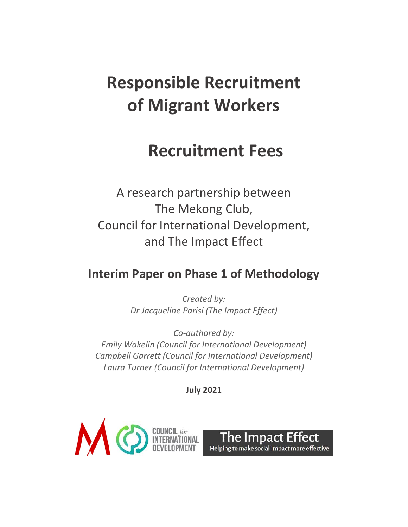# **Responsible Recruitment of Migrant Workers**

# **Recruitment Fees**

A research partnership between The Mekong Club, Council for International Development, and The Impact Effect

# **Interim Paper on Phase 1 of Methodology**

*Created by: Dr Jacqueline Parisi (The Impact Effect)*

*Co-authored by: Emily Wakelin (Council for International Development) Campbell Garrett (Council for International Development) Laura Turner (Council for International Development)*

**July 2021**



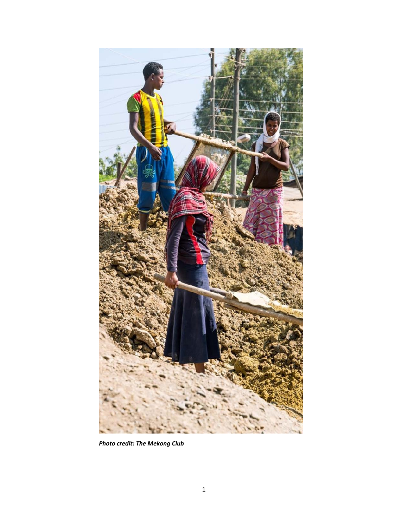

*Photo credit: The Mekong Club*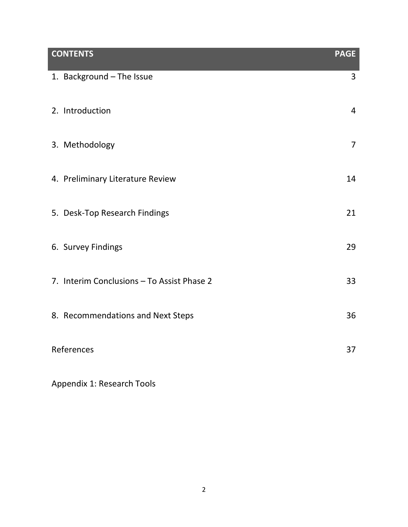| <b>CONTENTS</b>                            | <b>PAGE</b>    |
|--------------------------------------------|----------------|
| 1. Background - The Issue                  | $\overline{3}$ |
| 2. Introduction                            | $\overline{4}$ |
| 3. Methodology                             | $\overline{7}$ |
| 4. Preliminary Literature Review           | 14             |
| 5. Desk-Top Research Findings              | 21             |
| 6. Survey Findings                         | 29             |
| 7. Interim Conclusions - To Assist Phase 2 | 33             |
| 8. Recommendations and Next Steps          | 36             |
| References                                 | 37             |

Appendix 1: Research Tools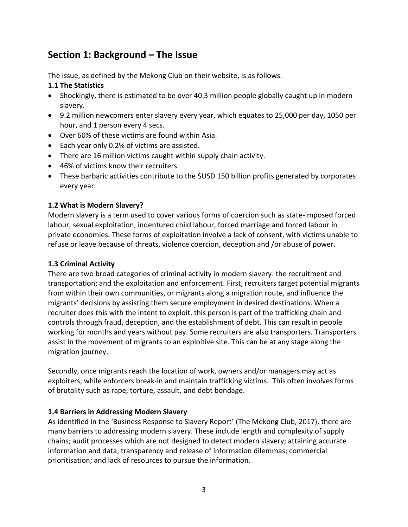# **Section 1: Background – The Issue**

The issue, as defined by the Mekong Club on their website, is as follows.

# **1.1 The Statistics**

- Shockingly, there is estimated to be over 40.3 million people globally caught up in modern slavery.
- 9.2 million newcomers enter slavery every year, which equates to 25,000 per day, 1050 per hour, and 1 person every 4 secs.
- Over 60% of these victims are found within Asia.
- Each year only 0.2% of victims are assisted.
- There are 16 million victims caught within supply chain activity.
- 46% of victims know their recruiters.
- These barbaric activities contribute to the \$USD 150 billion profits generated by corporates every year.

# **1.2 What is Modern Slavery?**

Modern slavery is a term used to cover various forms of coercion such as state-imposed forced labour, sexual exploitation, indentured child labour, forced marriage and forced labour in private economies. These forms of exploitation involve a lack of consent, with victims unable to refuse or leave because of threats, violence coercion, deception and /or abuse of power.

# **1.3 Criminal Activity**

There are two broad categories of criminal activity in modern slavery: the recruitment and transportation; and the exploitation and enforcement. First, recruiters target potential migrants from within their own communities, or migrants along a migration route, and influence the migrants' decisions by assisting them secure employment in desired destinations. When a recruiter does this with the intent to exploit, this person is part of the trafficking chain and controls through fraud, deception, and the establishment of debt. This can result in people working for months and years without pay. Some recruiters are also transporters. Transporters assist in the movement of migrants to an exploitive site. This can be at any stage along the migration journey.

Secondly, once migrants reach the location of work, owners and/or managers may act as exploiters, while enforcers break-in and maintain trafficking victims. This often involves forms of brutality such as rape, torture, assault, and debt bondage.

# **1.4 Barriers in Addressing Modern Slavery**

As identified in the 'Business Response to Slavery Report' (The Mekong Club, 2017), there are many barriers to addressing modern slavery. These include length and complexity of supply chains; audit processes which are not designed to detect modern slavery; attaining accurate information and data; transparency and release of information dilemmas; commercial prioritisation; and lack of resources to pursue the information.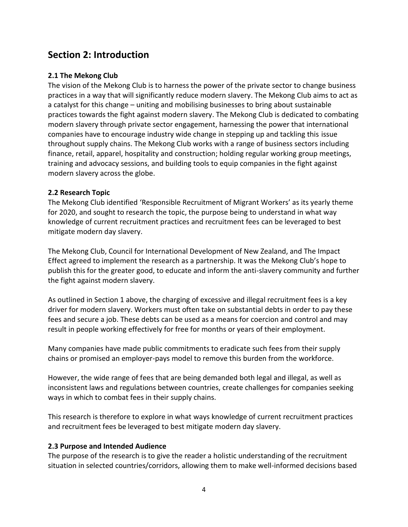# **Section 2: Introduction**

# **2.1 The Mekong Club**

The vision of the Mekong Club is to harness the power of the private sector to change business practices in a way that will significantly reduce modern slavery. The Mekong Club aims to act as a catalyst for this change – uniting and mobilising businesses to bring about sustainable practices towards the fight against modern slavery. The Mekong Club is dedicated to combating modern slavery through private sector engagement, harnessing the power that international companies have to encourage industry wide change in stepping up and tackling this issue throughout supply chains. The Mekong Club works with a range of business sectors including finance, retail, apparel, hospitality and construction; holding regular working group meetings, training and advocacy sessions, and building tools to equip companies in the fight against modern slavery across the globe.

# **2.2 Research Topic**

The Mekong Club identified 'Responsible Recruitment of Migrant Workers' as its yearly theme for 2020, and sought to research the topic, the purpose being to understand in what way knowledge of current recruitment practices and recruitment fees can be leveraged to best mitigate modern day slavery.

The Mekong Club, Council for International Development of New Zealand, and The Impact Effect agreed to implement the research as a partnership. It was the Mekong Club's hope to publish this for the greater good, to educate and inform the anti-slavery community and further the fight against modern slavery.

As outlined in Section 1 above, the charging of excessive and illegal recruitment fees is a key driver for modern slavery. Workers must often take on substantial debts in order to pay these fees and secure a job. These debts can be used as a means for coercion and control and may result in people working effectively for free for months or years of their employment.

Many companies have made public commitments to eradicate such fees from their supply chains or promised an employer-pays model to remove this burden from the workforce.

However, the wide range of fees that are being demanded both legal and illegal, as well as inconsistent laws and regulations between countries, create challenges for companies seeking ways in which to combat fees in their supply chains.

This research is therefore to explore in what ways knowledge of current recruitment practices and recruitment fees be leveraged to best mitigate modern day slavery.

# **2.3 Purpose and Intended Audience**

The purpose of the research is to give the reader a holistic understanding of the recruitment situation in selected countries/corridors, allowing them to make well-informed decisions based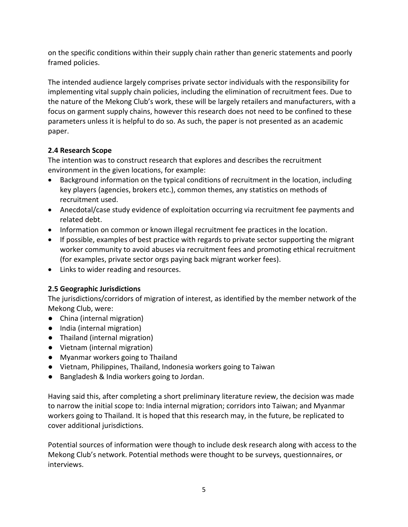on the specific conditions within their supply chain rather than generic statements and poorly framed policies.

The intended audience largely comprises private sector individuals with the responsibility for implementing vital supply chain policies, including the elimination of recruitment fees. Due to the nature of the Mekong Club's work, these will be largely retailers and manufacturers, with a focus on garment supply chains, however this research does not need to be confined to these parameters unless it is helpful to do so. As such, the paper is not presented as an academic paper.

# **2.4 Research Scope**

The intention was to construct research that explores and describes the recruitment environment in the given locations, for example:

- Background information on the typical conditions of recruitment in the location, including key players (agencies, brokers etc.), common themes, any statistics on methods of recruitment used.
- Anecdotal/case study evidence of exploitation occurring via recruitment fee payments and related debt.
- Information on common or known illegal recruitment fee practices in the location.
- If possible, examples of best practice with regards to private sector supporting the migrant worker community to avoid abuses via recruitment fees and promoting ethical recruitment (for examples, private sector orgs paying back migrant worker fees).
- Links to wider reading and resources.

# **2.5 Geographic Jurisdictions**

The jurisdictions/corridors of migration of interest, as identified by the member network of the Mekong Club, were:

- China (internal migration)
- India (internal migration)
- Thailand (internal migration)
- Vietnam (internal migration)
- Myanmar workers going to Thailand
- Vietnam, Philippines, Thailand, Indonesia workers going to Taiwan
- Bangladesh & India workers going to Jordan.

Having said this, after completing a short preliminary literature review, the decision was made to narrow the initial scope to: India internal migration; corridors into Taiwan; and Myanmar workers going to Thailand. It is hoped that this research may, in the future, be replicated to cover additional jurisdictions.

Potential sources of information were though to include desk research along with access to the Mekong Club's network. Potential methods were thought to be surveys, questionnaires, or interviews.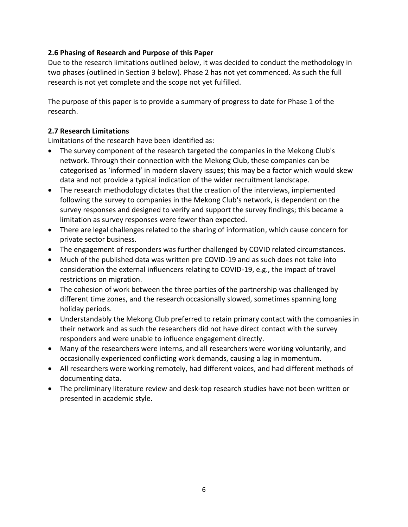# **2.6 Phasing of Research and Purpose of this Paper**

Due to the research limitations outlined below, it was decided to conduct the methodology in two phases (outlined in Section 3 below). Phase 2 has not yet commenced. As such the full research is not yet complete and the scope not yet fulfilled.

The purpose of this paper is to provide a summary of progress to date for Phase 1 of the research.

# **2.7 Research Limitations**

Limitations of the research have been identified as:

- The survey component of the research targeted the companies in the Mekong Club's network. Through their connection with the Mekong Club, these companies can be categorised as 'informed' in modern slavery issues; this may be a factor which would skew data and not provide a typical indication of the wider recruitment landscape.
- The research methodology dictates that the creation of the interviews, implemented following the survey to companies in the Mekong Club's network, is dependent on the survey responses and designed to verify and support the survey findings; this became a limitation as survey responses were fewer than expected.
- There are legal challenges related to the sharing of information, which cause concern for private sector business.
- The engagement of responders was further challenged by COVID related circumstances.
- Much of the published data was written pre COVID-19 and as such does not take into consideration the external influencers relating to COVID-19, e.g., the impact of travel restrictions on migration.
- The cohesion of work between the three parties of the partnership was challenged by different time zones, and the research occasionally slowed, sometimes spanning long holiday periods.
- Understandably the Mekong Club preferred to retain primary contact with the companies in their network and as such the researchers did not have direct contact with the survey responders and were unable to influence engagement directly.
- Many of the researchers were interns, and all researchers were working voluntarily, and occasionally experienced conflicting work demands, causing a lag in momentum.
- All researchers were working remotely, had different voices, and had different methods of documenting data.
- The preliminary literature review and desk-top research studies have not been written or presented in academic style.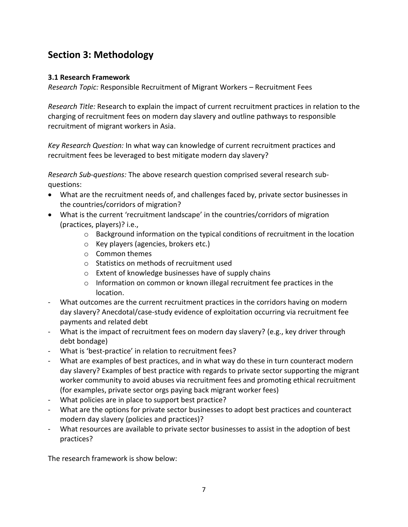# **Section 3: Methodology**

## **3.1 Research Framework**

*Research Topic:* Responsible Recruitment of Migrant Workers – Recruitment Fees

*Research Title:* Research to explain the impact of current recruitment practices in relation to the charging of recruitment fees on modern day slavery and outline pathways to responsible recruitment of migrant workers in Asia.

*Key Research Question:* In what way can knowledge of current recruitment practices and recruitment fees be leveraged to best mitigate modern day slavery?

*Research Sub-questions:* The above research question comprised several research subquestions:

- What are the recruitment needs of, and challenges faced by, private sector businesses in the countries/corridors of migration?
- What is the current 'recruitment landscape' in the countries/corridors of migration (practices, players)? i.e.,
	- o Background information on the typical conditions of recruitment in the location
	- o Key players (agencies, brokers etc.)
	- o Common themes
	- o Statistics on methods of recruitment used
	- o Extent of knowledge businesses have of supply chains
	- o Information on common or known illegal recruitment fee practices in the location.
- What outcomes are the current recruitment practices in the corridors having on modern day slavery? Anecdotal/case-study evidence of exploitation occurring via recruitment fee payments and related debt
- What is the impact of recruitment fees on modern day slavery? (e.g., key driver through debt bondage)
- What is 'best-practice' in relation to recruitment fees?
- What are examples of best practices, and in what way do these in turn counteract modern day slavery? Examples of best practice with regards to private sector supporting the migrant worker community to avoid abuses via recruitment fees and promoting ethical recruitment (for examples, private sector orgs paying back migrant worker fees)
- What policies are in place to support best practice?
- What are the options for private sector businesses to adopt best practices and counteract modern day slavery (policies and practices)?
- What resources are available to private sector businesses to assist in the adoption of best practices?

The research framework is show below: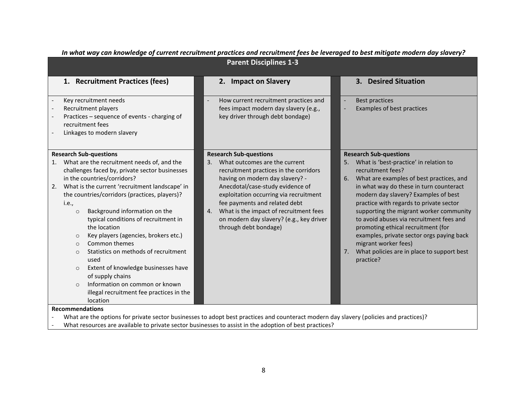| <b>Parent Disciplines 1-3</b>                                                                                                                                                                                                                                                                                                                                                                                                                                                                                                                                                                                                                     |                                                                                                                                                                                                                                                                                                                                                                                       |                                                                                                                                                                                                                                                                                                                                                                                                                                                                                                                                                 |  |  |
|---------------------------------------------------------------------------------------------------------------------------------------------------------------------------------------------------------------------------------------------------------------------------------------------------------------------------------------------------------------------------------------------------------------------------------------------------------------------------------------------------------------------------------------------------------------------------------------------------------------------------------------------------|---------------------------------------------------------------------------------------------------------------------------------------------------------------------------------------------------------------------------------------------------------------------------------------------------------------------------------------------------------------------------------------|-------------------------------------------------------------------------------------------------------------------------------------------------------------------------------------------------------------------------------------------------------------------------------------------------------------------------------------------------------------------------------------------------------------------------------------------------------------------------------------------------------------------------------------------------|--|--|
| 1. Recruitment Practices (fees)                                                                                                                                                                                                                                                                                                                                                                                                                                                                                                                                                                                                                   | 2. Impact on Slavery                                                                                                                                                                                                                                                                                                                                                                  | 3. Desired Situation                                                                                                                                                                                                                                                                                                                                                                                                                                                                                                                            |  |  |
| Key recruitment needs<br>Recruitment players<br>Practices - sequence of events - charging of<br>recruitment fees<br>Linkages to modern slavery                                                                                                                                                                                                                                                                                                                                                                                                                                                                                                    | How current recruitment practices and<br>fees impact modern day slavery (e.g.,<br>key driver through debt bondage)                                                                                                                                                                                                                                                                    | <b>Best practices</b><br>Examples of best practices                                                                                                                                                                                                                                                                                                                                                                                                                                                                                             |  |  |
| <b>Research Sub-questions</b><br>What are the recruitment needs of, and the<br>challenges faced by, private sector businesses<br>in the countries/corridors?<br>What is the current 'recruitment landscape' in<br>the countries/corridors (practices, players)?<br><i>i.e.</i> ,<br>Background information on the<br>$\circ$<br>typical conditions of recruitment in<br>the location<br>Key players (agencies, brokers etc.)<br>$\circ$<br>Common themes<br>$\circ$<br>Statistics on methods of recruitment<br>$\circ$<br>used<br>Extent of knowledge businesses have<br>$\circ$<br>of supply chains<br>Information on common or known<br>$\circ$ | <b>Research Sub-questions</b><br>What outcomes are the current<br>3.<br>recruitment practices in the corridors<br>having on modern day slavery? -<br>Anecdotal/case-study evidence of<br>exploitation occurring via recruitment<br>fee payments and related debt<br>What is the impact of recruitment fees<br>4.<br>on modern day slavery? (e.g., key driver<br>through debt bondage) | <b>Research Sub-questions</b><br>What is 'best-practice' in relation to<br>recruitment fees?<br>What are examples of best practices, and<br>6.<br>in what way do these in turn counteract<br>modern day slavery? Examples of best<br>practice with regards to private sector<br>supporting the migrant worker community<br>to avoid abuses via recruitment fees and<br>promoting ethical recruitment (for<br>examples, private sector orgs paying back<br>migrant worker fees)<br>What policies are in place to support best<br>7.<br>practice? |  |  |
| illegal recruitment fee practices in the<br>location<br><b>Recommendations</b><br>What are the options for private sector businesses to adopt best practices and counteract modern day slavery (policies and practices)?                                                                                                                                                                                                                                                                                                                                                                                                                          |                                                                                                                                                                                                                                                                                                                                                                                       |                                                                                                                                                                                                                                                                                                                                                                                                                                                                                                                                                 |  |  |

#### *In what way can knowledge of current recruitment practices and recruitment fees be leveraged to best mitigate modern day slavery?*

- What resources are available to private sector businesses to assist in the adoption of best practices?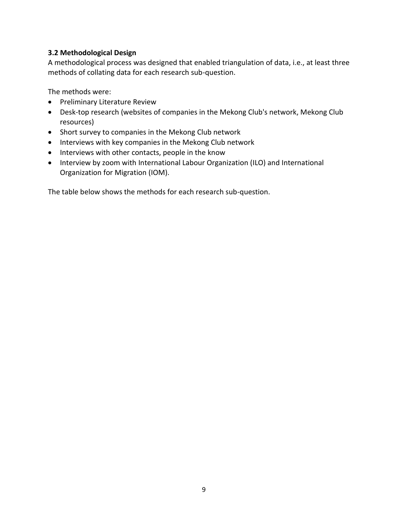#### **3.2 Methodological Design**

A methodological process was designed that enabled triangulation of data, i.e., at least three methods of collating data for each research sub-question.

The methods were:

- Preliminary Literature Review
- Desk-top research (websites of companies in the Mekong Club's network, Mekong Club resources)
- Short survey to companies in the Mekong Club network
- Interviews with key companies in the Mekong Club network
- Interviews with other contacts, people in the know
- Interview by zoom with International Labour Organization (ILO) and International Organization for Migration (IOM).

The table below shows the methods for each research sub-question.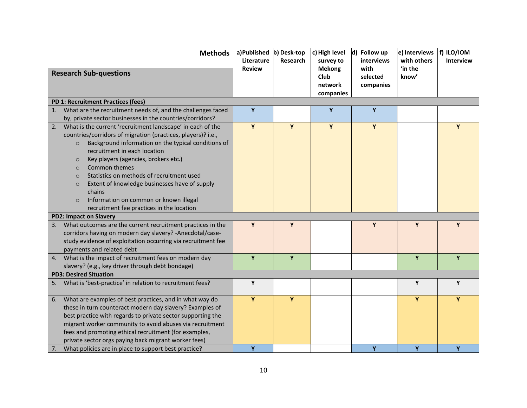| <b>Methods</b>                                                                                                                                                                                                                                                                                                                                                                                                                                                                                                                                    | a)Published b) Desk-top<br>Literature | <b>Research</b> | c) High level<br>survey to                    | d) Follow up<br>interviews    | e) Interviews<br>with others | f) ILO/IOM<br><b>Interview</b> |
|---------------------------------------------------------------------------------------------------------------------------------------------------------------------------------------------------------------------------------------------------------------------------------------------------------------------------------------------------------------------------------------------------------------------------------------------------------------------------------------------------------------------------------------------------|---------------------------------------|-----------------|-----------------------------------------------|-------------------------------|------------------------------|--------------------------------|
| <b>Research Sub-questions</b>                                                                                                                                                                                                                                                                                                                                                                                                                                                                                                                     | <b>Review</b>                         |                 | <b>Mekong</b><br>Club<br>network<br>companies | with<br>selected<br>companies | 'in the<br>know'             |                                |
| PD 1: Recruitment Practices (fees)                                                                                                                                                                                                                                                                                                                                                                                                                                                                                                                |                                       |                 |                                               |                               |                              |                                |
| What are the recruitment needs of, and the challenges faced<br>1.<br>by, private sector businesses in the countries/corridors?                                                                                                                                                                                                                                                                                                                                                                                                                    | Y                                     |                 | Y                                             | $\mathbf{Y}$                  |                              |                                |
| What is the current 'recruitment landscape' in each of the<br>2.<br>countries/corridors of migration (practices, players)? i.e.,<br>Background information on the typical conditions of<br>$\circ$<br>recruitment in each location<br>Key players (agencies, brokers etc.)<br>$\circ$<br>Common themes<br>$\circ$<br>Statistics on methods of recruitment used<br>$\circ$<br>Extent of knowledge businesses have of supply<br>$\circ$<br>chains<br>Information on common or known illegal<br>$\circ$<br>recruitment fee practices in the location | Y                                     | Y               | Y                                             | Y                             |                              | Y                              |
| <b>PD2: Impact on Slavery</b>                                                                                                                                                                                                                                                                                                                                                                                                                                                                                                                     |                                       |                 |                                               |                               |                              |                                |
| What outcomes are the current recruitment practices in the<br>3.<br>corridors having on modern day slavery? - Anecdotal/case-<br>study evidence of exploitation occurring via recruitment fee<br>payments and related debt                                                                                                                                                                                                                                                                                                                        | Y                                     | Y               |                                               | Y                             | Y                            | Y                              |
| What is the impact of recruitment fees on modern day<br>4.<br>slavery? (e.g., key driver through debt bondage)                                                                                                                                                                                                                                                                                                                                                                                                                                    | Y                                     | Y               |                                               |                               | Y                            | Y                              |
| <b>PD3: Desired Situation</b>                                                                                                                                                                                                                                                                                                                                                                                                                                                                                                                     |                                       |                 |                                               |                               |                              |                                |
| What is 'best-practice' in relation to recruitment fees?<br>5.                                                                                                                                                                                                                                                                                                                                                                                                                                                                                    | Y                                     |                 |                                               |                               | Y                            | Y                              |
| What are examples of best practices, and in what way do<br>6.<br>these in turn counteract modern day slavery? Examples of<br>best practice with regards to private sector supporting the<br>migrant worker community to avoid abuses via recruitment<br>fees and promoting ethical recruitment (for examples,<br>private sector orgs paying back migrant worker fees)                                                                                                                                                                             | Y                                     | Y               |                                               |                               | Y                            | Y                              |
| What policies are in place to support best practice?<br>7.                                                                                                                                                                                                                                                                                                                                                                                                                                                                                        | Y                                     |                 |                                               | Y                             | Y                            | Y                              |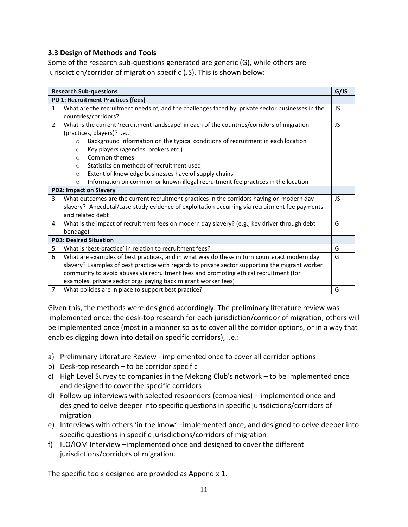## **3.3 Design of Methods and Tools**

Some of the research sub-questions generated are generic (G), while others are jurisdiction/corridor of migration specific (JS). This is shown below:

| <b>Research Sub-questions</b><br>G/JS |                                                                                                        |     |  |  |  |
|---------------------------------------|--------------------------------------------------------------------------------------------------------|-----|--|--|--|
| PD 1: Recruitment Practices (fees)    |                                                                                                        |     |  |  |  |
| 1.                                    | What are the recruitment needs of, and the challenges faced by, private sector businesses in the<br>JS |     |  |  |  |
|                                       | countries/corridors?                                                                                   |     |  |  |  |
| 2.                                    | What is the current 'recruitment landscape' in each of the countries/corridors of migration            | JS  |  |  |  |
|                                       | (practices, players)? i.e.,                                                                            |     |  |  |  |
|                                       | Background information on the typical conditions of recruitment in each location<br>$\circ$            |     |  |  |  |
|                                       | Key players (agencies, brokers etc.)<br>$\circ$                                                        |     |  |  |  |
|                                       | Common themes<br>$\Omega$                                                                              |     |  |  |  |
|                                       | Statistics on methods of recruitment used<br>$\Omega$                                                  |     |  |  |  |
|                                       | Extent of knowledge businesses have of supply chains<br>$\circ$                                        |     |  |  |  |
|                                       | Information on common or known illegal recruitment fee practices in the location<br>$\circ$            |     |  |  |  |
| <b>PD2: Impact on Slavery</b>         |                                                                                                        |     |  |  |  |
| 3.                                    | What outcomes are the current recruitment practices in the corridors having on modern day              | JS. |  |  |  |
|                                       | slavery? -Anecdotal/case-study evidence of exploitation occurring via recruitment fee payments         |     |  |  |  |
|                                       | and related debt                                                                                       |     |  |  |  |
| 4.                                    | What is the impact of recruitment fees on modern day slavery? (e.g., key driver through debt<br>G      |     |  |  |  |
|                                       | bondage)                                                                                               |     |  |  |  |
|                                       | <b>PD3: Desired Situation</b>                                                                          |     |  |  |  |
| 5.                                    | What is 'best-practice' in relation to recruitment fees?                                               | G   |  |  |  |
| 6.                                    | What are examples of best practices, and in what way do these in turn counteract modern day            | G   |  |  |  |
|                                       | slavery? Examples of best practice with regards to private sector supporting the migrant worker        |     |  |  |  |
|                                       | community to avoid abuses via recruitment fees and promoting ethical recruitment (for                  |     |  |  |  |
|                                       | examples, private sector orgs paying back migrant worker fees)                                         |     |  |  |  |
| 7.                                    | What policies are in place to support best practice?<br>G                                              |     |  |  |  |

Given this, the methods were designed accordingly. The preliminary literature review was implemented once; the desk-top research for each jurisdiction/corridor of migration; others will be implemented once (most in a manner so as to cover all the corridor options, or in a way that enables digging down into detail on specific corridors), i.e.:

- a) Preliminary Literature Review implemented once to cover all corridor options
- b) Desk-top research to be corridor specific
- c) High Level Survey to companies in the Mekong Club's network to be implemented once and designed to cover the specific corridors
- d) Follow up interviews with selected responders (companies) implemented once and designed to delve deeper into specific questions in specific jurisdictions/corridors of migration
- e) Interviews with others 'in the know' –implemented once, and designed to delve deeper into specific questions in specific jurisdictions/corridors of migration
- f) ILO/IOM Interview –implemented once and designed to cover the different jurisdictions/corridors of migration.

The specific tools designed are provided as Appendix 1.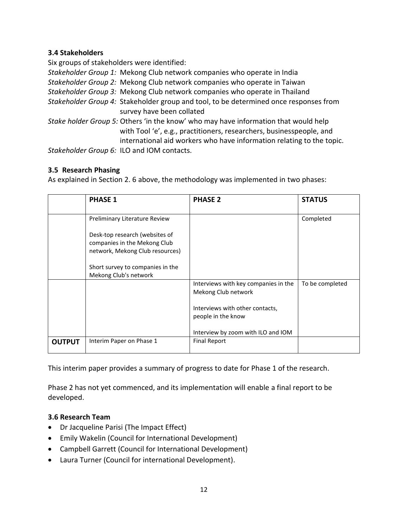# **3.4 Stakeholders**

Six groups of stakeholders were identified:

*Stakeholder Group 1:* Mekong Club network companies who operate in India

- *Stakeholder Group 2:* Mekong Club network companies who operate in Taiwan
- *Stakeholder Group 3:* Mekong Club network companies who operate in Thailand
- *Stakeholder Group 4:* Stakeholder group and tool, to be determined once responses from survey have been collated
- *Stake holder Group 5:* Others 'in the know' who may have information that would help with Tool 'e', e.g., practitioners, researchers, businesspeople, and international aid workers who have information relating to the topic.

*Stakeholder Group 6:* ILO and IOM contacts.

# **3.5 Research Phasing**

As explained in Section 2. 6 above, the methodology was implemented in two phases:

|               | <b>PHASE 1</b>                                                                                                                                                 | <b>PHASE 2</b>                                              | <b>STATUS</b>   |
|---------------|----------------------------------------------------------------------------------------------------------------------------------------------------------------|-------------------------------------------------------------|-----------------|
|               | Preliminary Literature Review                                                                                                                                  |                                                             | Completed       |
|               | Desk-top research (websites of<br>companies in the Mekong Club<br>network, Mekong Club resources)<br>Short survey to companies in the<br>Mekong Club's network |                                                             |                 |
|               |                                                                                                                                                                | Interviews with key companies in the<br>Mekong Club network | To be completed |
|               |                                                                                                                                                                | Interviews with other contacts,<br>people in the know       |                 |
|               |                                                                                                                                                                | Interview by zoom with ILO and IOM                          |                 |
| <b>OUTPUT</b> | Interim Paper on Phase 1                                                                                                                                       | <b>Final Report</b>                                         |                 |

This interim paper provides a summary of progress to date for Phase 1 of the research.

Phase 2 has not yet commenced, and its implementation will enable a final report to be developed.

#### **3.6 Research Team**

- Dr Jacqueline Parisi (The Impact Effect)
- Emily Wakelin (Council for International Development)
- Campbell Garrett (Council for International Development)
- Laura Turner (Council for international Development).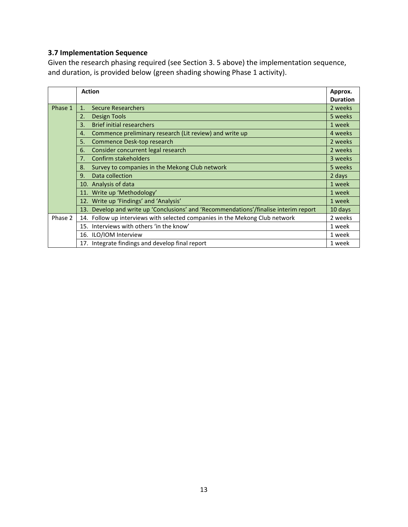# **3.7 Implementation Sequence**

Given the research phasing required (see Section 3. 5 above) the implementation sequence, and duration, is provided below (green shading showing Phase 1 activity).

|         | <b>Action</b>                                                                        |                 |  |  |
|---------|--------------------------------------------------------------------------------------|-----------------|--|--|
|         |                                                                                      | <b>Duration</b> |  |  |
| Phase 1 | <b>Secure Researchers</b><br>1 <sub>1</sub>                                          | 2 weeks         |  |  |
|         | 2.<br>Design Tools                                                                   | 5 weeks         |  |  |
|         | <b>Brief initial researchers</b><br>3.                                               | 1 week          |  |  |
|         | Commence preliminary research (Lit review) and write up<br>4.                        |                 |  |  |
|         | 5.<br>Commence Desk-top research                                                     | 2 weeks         |  |  |
|         | Consider concurrent legal research<br>6.                                             | 2 weeks         |  |  |
|         | Confirm stakeholders<br>7.                                                           | 3 weeks         |  |  |
|         | Survey to companies in the Mekong Club network<br>8.                                 | 5 weeks         |  |  |
|         | Data collection<br>9.                                                                | 2 days          |  |  |
|         | 10. Analysis of data                                                                 | 1 week          |  |  |
|         | 11. Write up 'Methodology'                                                           | 1 week          |  |  |
|         | 12. Write up 'Findings' and 'Analysis'                                               | 1 week          |  |  |
|         | 13. Develop and write up 'Conclusions' and 'Recommendations'/finalise interim report | 10 days         |  |  |
| Phase 2 | 14. Follow up interviews with selected companies in the Mekong Club network          | 2 weeks         |  |  |
|         | 15. Interviews with others 'in the know'                                             | 1 week          |  |  |
|         | 16. ILO/IOM Interview                                                                | 1 week          |  |  |
|         | 17. Integrate findings and develop final report                                      | 1 week          |  |  |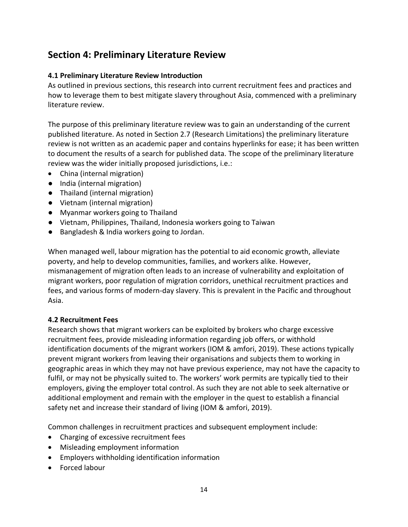# **Section 4: Preliminary Literature Review**

# **4.1 Preliminary Literature Review Introduction**

As outlined in previous sections, this research into current recruitment fees and practices and how to leverage them to best mitigate slavery throughout Asia, commenced with a preliminary literature review.

The purpose of this preliminary literature review was to gain an understanding of the current published literature. As noted in Section 2.7 (Research Limitations) the preliminary literature review is not written as an academic paper and contains hyperlinks for ease; it has been written to document the results of a search for published data. The scope of the preliminary literature review was the wider initially proposed jurisdictions, i.e.:

- China (internal migration)
- India (internal migration)
- Thailand (internal migration)
- Vietnam (internal migration)
- Myanmar workers going to Thailand
- Vietnam, Philippines, Thailand, Indonesia workers going to Taiwan
- Bangladesh & India workers going to Jordan.

When managed well, labour migration has the potential to aid economic growth, alleviate poverty, and help to develop communities, families, and workers alike. However, mismanagement of migration often leads to an increase of vulnerability and exploitation of migrant workers, poor regulation of migration corridors, unethical recruitment practices and fees, and various forms of modern-day slavery. This is prevalent in the Pacific and throughout Asia.

# **4.2 Recruitment Fees**

Research shows that migrant workers can be exploited by brokers who charge excessive recruitment fees, provide misleading information regarding job offers, or withhold identification documents of the migrant workers (IOM & amfori, 2019). These actions typically prevent migrant workers from leaving their organisations and subjects them to working in geographic areas in which they may not have previous experience, may not have the capacity to fulfil, or may not be physically suited to. The workers' work permits are typically tied to their employers, giving the employer total control. As such they are not able to seek alternative or additional employment and remain with the employer in the quest to establish a financial safety net and increase their standard of living (IOM & amfori, 2019).

Common challenges in recruitment practices and subsequent employment include:

- Charging of excessive recruitment fees
- Misleading employment information
- Employers withholding identification information
- Forced labour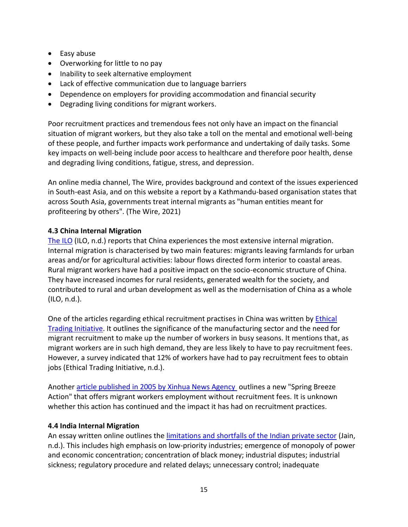- Easy abuse
- Overworking for little to no pay
- Inability to seek alternative employment
- Lack of effective communication due to language barriers
- Dependence on employers for providing accommodation and financial security
- Degrading living conditions for migrant workers.

Poor recruitment practices and tremendous fees not only have an impact on the financial situation of migrant workers, but they also take a toll on the mental and emotional well-being of these people, and further impacts work performance and undertaking of daily tasks. Some key impacts on well-being include poor access to healthcare and therefore poor health, dense and degrading living conditions, fatigue, stress, and depression.

An online media channel, The Wire, provides background and context of the issues experienced in South-east Asia, and on this website a report by a Kathmandu-based organisation states that across South Asia, governments treat internal migrants as "human entities meant for profiteering by others". (The Wire, 2021)

# **4.3 China Internal Migration**

[The ILO](https://www.ilo.org/beijing/areas-of-work/labour-migration/lang--en/index.htm) (ILO, n.d.) reports that China experiences the most extensive internal migration. Internal migration is characterised by two main features: migrants leaving farmlands for urban areas and/or for agricultural activities: labour flows directed form interior to coastal areas. Rural migrant workers have had a positive impact on the socio-economic structure of China. They have increased incomes for rural residents, generated wealth for the society, and contributed to rural and urban development as well as the modernisation of China as a whole (ILO, n.d.).

One of the articles regarding ethical recruitment practises in China was written by [Ethical](https://www.ethicaltrade.org/system/files/shared_resources/Ethical%20Recruitment%20Practice%20and%20Prevention%20of%20Forced%20Labour%20in%20China.pdf)  [Trading Initiative.](https://www.ethicaltrade.org/system/files/shared_resources/Ethical%20Recruitment%20Practice%20and%20Prevention%20of%20Forced%20Labour%20in%20China.pdf) It outlines the significance of the manufacturing sector and the need for migrant recruitment to make up the number of workers in busy seasons. It mentions that, as migrant workers are in such high demand, they are less likely to have to pay recruitment fees. However, a survey indicated that 12% of workers have had to pay recruitment fees to obtain jobs (Ethical Trading Initiative, n.d.).

Another [article published in 2005 by Xinhua News Agency](http://www.china.org.cn/english/government/121631.htm) outlines a new "Spring Breeze Action" that offers migrant workers employment without recruitment fees. It is unknown whether this action has continued and the impact it has had on recruitment practices.

# **4.4 India Internal Migration**

An essay written online outlines th[e limitations and shortfalls of the Indian private sector](https://www.economicsdiscussion.net/essays/private-sector-of-india-essay/17689) (Jain, n.d.). This includes high emphasis on low-priority industries; emergence of monopoly of power and economic concentration; concentration of black money; industrial disputes; industrial sickness; regulatory procedure and related delays; unnecessary control; inadequate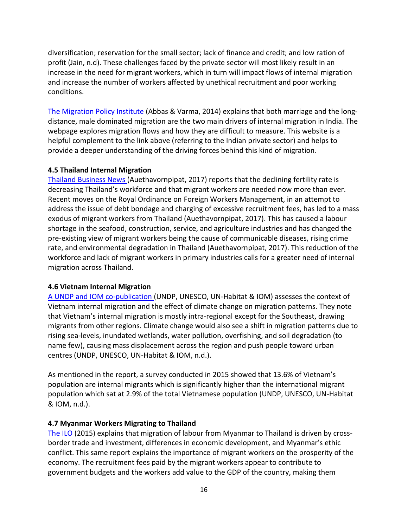diversification; reservation for the small sector; lack of finance and credit; and low ration of profit (Jain, n.d). These challenges faced by the private sector will most likely result in an increase in the need for migrant workers, which in turn will impact flows of internal migration and increase the number of workers affected by unethical recruitment and poor working conditions.

[The Migration Policy Institute \(](https://www.migrationpolicy.org/article/internal-labor-migration-india-raises-integration-challenges-migrants)Abbas & Varma, 2014) explains that both marriage and the longdistance, male dominated migration are the two main drivers of internal migration in India. The webpage explores migration flows and how they are difficult to measure. This website is a helpful complement to the link above (referring to the Indian private sector) and helps to provide a deeper understanding of the driving forces behind this kind of migration.

#### **4.5 Thailand Internal Migration**

[Thailand Business News \(](https://www.thailand-business-news.com/opinion/59104-thailand-needs-migrant-workers-now-ever.html)Auethavornpipat, 2017) reports that the declining fertility rate is decreasing Thailand's workforce and that migrant workers are needed now more than ever. Recent moves on the Royal Ordinance on Foreign Workers Management, in an attempt to address the issue of debt bondage and charging of excessive recruitment fees, has led to a mass exodus of migrant workers from Thailand (Auethavornpipat, 2017). This has caused a labour shortage in the seafood, construction, service, and agriculture industries and has changed the pre-existing view of migrant workers being the cause of communicable diseases, rising crime rate, and environmental degradation in Thailand (Auethavornpipat, 2017). This reduction of the workforce and lack of migrant workers in primary industries calls for a greater need of internal migration across Thailand.

#### **4.6 Vietnam Internal Migration**

[A UNDP and IOM co-publication \(](https://bangkok.unesco.org/sites/default/files/assets/article/Social%20and%20Human%20Sciences/publications/vietnam.pdf)UNDP, UNESCO, UN-Habitat & IOM) assesses the context of Vietnam internal migration and the effect of climate change on migration patterns. They note that Vietnam's internal migration is mostly intra-regional except for the Southeast, drawing migrants from other regions. Climate change would also see a shift in migration patterns due to rising sea-levels, inundated wetlands, water pollution, overfishing, and soil degradation (to name few), causing mass displacement across the region and push people toward urban centres (UNDP, UNESCO, UN-Habitat & IOM, n.d.).

As mentioned in the report, a survey conducted in 2015 showed that 13.6% of Vietnam's population are internal migrants which is significantly higher than the international migrant population which sat at 2.9% of the total Vietnamese population (UNDP, UNESCO, UN-Habitat & IOM, n.d.).

# **4.7 Myanmar Workers Migrating to Thailand**

[The ILO](https://www.ilo.org/wcmsp5/groups/public/---asia/---ro-bangkok/documents/publication/wcms_103923.pdf) (2015) explains that migration of labour from Myanmar to Thailand is driven by crossborder trade and investment, differences in economic development, and Myanmar's ethic conflict. This same report explains the importance of migrant workers on the prosperity of the economy. The recruitment fees paid by the migrant workers appear to contribute to government budgets and the workers add value to the GDP of the country, making them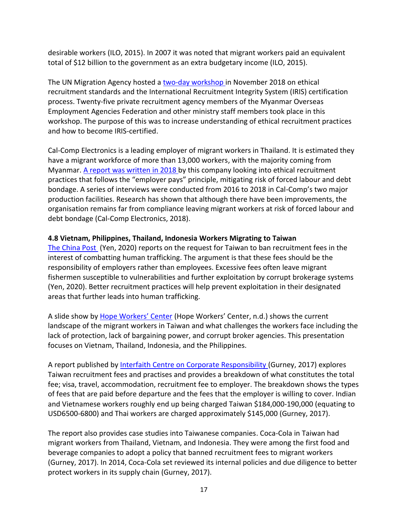desirable workers (ILO, 2015). In 2007 it was noted that migrant workers paid an equivalent total of \$12 billion to the government as an extra budgetary income (ILO, 2015).

The UN Migration Agency hosted a [two-day workshop i](https://myanmar.iom.int/my/news/myanmar-overseas-employment-agencies-explore-pathways-more-ethical-recruitment)n November 2018 on ethical recruitment standards and the International Recruitment Integrity System (IRIS) certification process. Twenty-five private recruitment agency members of the Myanmar Overseas Employment Agencies Federation and other ministry staff members took place in this workshop. The purpose of this was to increase understanding of ethical recruitment practices and how to become IRIS-certified.

Cal-Comp Electronics is a leading employer of migrant workers in Thailand. It is estimated they have a migrant workforce of more than 13,000 workers, with the majority coming from Myanmar. [A report was written in 2018 b](http://electronicswatch.org/compliance-report-update-cal-comp-samut-sakorn-and-petchaburi-thailand-october-2018_2555998.pdf)y this company looking into ethical recruitment practices that follows the "employer pays" principle, mitigating risk of forced labour and debt bondage. A series of interviews were conducted from 2016 to 2018 in Cal-Comp's two major production facilities. Research has shown that although there have been improvements, the organisation remains far from compliance leaving migrant workers at risk of forced labour and debt bondage (Cal-Comp Electronics, 2018).

# **4.8 Vietnam, Philippines, Thailand, Indonesia Workers Migrating to Taiwan**

[The China Post](https://chinapost.nownews.com/20200902-1707878) (Yen, 2020) reports on the request for Taiwan to ban recruitment fees in the interest of combatting human trafficking. The argument is that these fees should be the responsibility of employers rather than employees. Excessive fees often leave migrant fishermen susceptible to vulnerabilities and further exploitation by corrupt brokerage systems (Yen, 2020). Better recruitment practices will help prevent exploitation in their designated areas that further leads into human trafficking.

A slide show by [Hope Workers' Center](http://www.cedaw.org.tw/en/upload/media/Capacity%20Building/7-1BMigrant%20Worker%20in%20Taiwan.pdf) (Hope Workers' Center, n.d.) shows the current landscape of the migrant workers in Taiwan and what challenges the workers face including the lack of protection, lack of bargaining power, and corrupt broker agencies. This presentation focuses on Vietnam, Thailand, Indonesia, and the Philippines.

A report published by [Interfaith Centre on Corporate Responsibility \(](https://www.iccr.org/sites/default/files/iccrsbestpracticeguidanceethicalrecruitment05.04.17.pdf)Gurney, 2017) explores Taiwan recruitment fees and practises and provides a breakdown of what constitutes the total fee; visa, travel, accommodation, recruitment fee to employer. The breakdown shows the types of fees that are paid before departure and the fees that the employer is willing to cover. Indian and Vietnamese workers roughly end up being charged Taiwan \$184,000-190,000 (equating to USD6500-6800) and Thai workers are charged approximately \$145,000 (Gurney, 2017).

The report also provides case studies into Taiwanese companies. Coca-Cola in Taiwan had migrant workers from Thailand, Vietnam, and Indonesia. They were among the first food and beverage companies to adopt a policy that banned recruitment fees to migrant workers (Gurney, 2017). In 2014, Coca-Cola set reviewed its internal policies and due diligence to better protect workers in its supply chain (Gurney, 2017).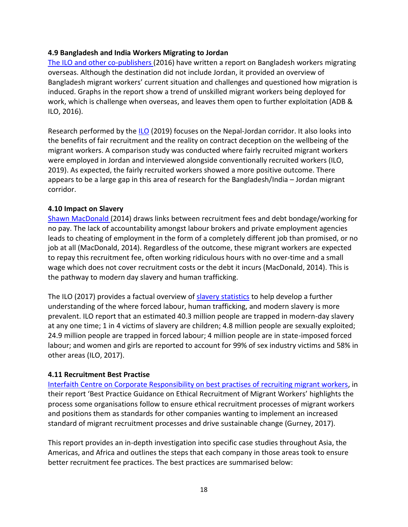#### **4.9 Bangladesh and India Workers Migrating to Jordan**

[The ILO and other co-publishers \(](https://www.adb.org/sites/default/files/publication/190600/overseas-employment-ban-workers.pdf)2016) have written a report on Bangladesh workers migrating overseas. Although the destination did not include Jordan, it provided an overview of Bangladesh migrant workers' current situation and challenges and questioned how migration is induced. Graphs in the report show a trend of unskilled migrant workers being deployed for work, which is challenge when overseas, and leaves them open to further exploitation (ADB & ILO, 2016).

Research performed by the [ILO](https://www.ilo.org/wcmsp5/groups/public/---ed_norm/---ipec/documents/publication/wcms_727143.pdf) (2019) focuses on the Nepal-Jordan corridor. It also looks into the benefits of fair recruitment and the reality on contract deception on the wellbeing of the migrant workers. A comparison study was conducted where fairly recruited migrant workers were employed in Jordan and interviewed alongside conventionally recruited workers (ILO, 2019). As expected, the fairly recruited workers showed a more positive outcome. There appears to be a large gap in this area of research for the Bangladesh/India – Jordan migrant corridor.

#### **4.10 Impact on Slavery**

[Shawn MacDonald](https://knowthechain.org/the-key-to-fighting-modern-slavery-in-supply-chains-eliminate-worker-recruitment-fees/) (2014) draws links between recruitment fees and debt bondage/working for no pay. The lack of accountability amongst labour brokers and private employment agencies leads to cheating of employment in the form of a completely different job than promised, or no job at all (MacDonald, 2014). Regardless of the outcome, these migrant workers are expected to repay this recruitment fee, often working ridiculous hours with no over-time and a small wage which does not cover recruitment costs or the debt it incurs (MacDonald, 2014). This is the pathway to modern day slavery and human trafficking.

The ILO (2017) provides a factual overview of [slavery statistics](https://www.ilo.org/global/topics/forced-labour/lang--en/index.htm) to help develop a further understanding of the where forced labour, human trafficking, and modern slavery is more prevalent. ILO report that an estimated 40.3 million people are trapped in modern-day slavery at any one time; 1 in 4 victims of slavery are children; 4.8 million people are sexually exploited; 24.9 million people are trapped in forced labour; 4 million people are in state-imposed forced labour; and women and girls are reported to account for 99% of sex industry victims and 58% in other areas (ILO, 2017).

#### **4.11 Recruitment Best Practise**

[Interfaith Centre on Corporate Responsibility on best practises of recruiting migrant workers,](https://www.iccr.org/sites/default/files/iccrsbestpracticeguidanceethicalrecruitment05.09.17_final.pdf) in their report 'Best Practice Guidance on Ethical Recruitment of Migrant Workers' highlights the process some organisations follow to ensure ethical recruitment processes of migrant workers and positions them as standards for other companies wanting to implement an increased standard of migrant recruitment processes and drive sustainable change (Gurney, 2017).

This report provides an in-depth investigation into specific case studies throughout Asia, the Americas, and Africa and outlines the steps that each company in those areas took to ensure better recruitment fee practices. The best practices are summarised below: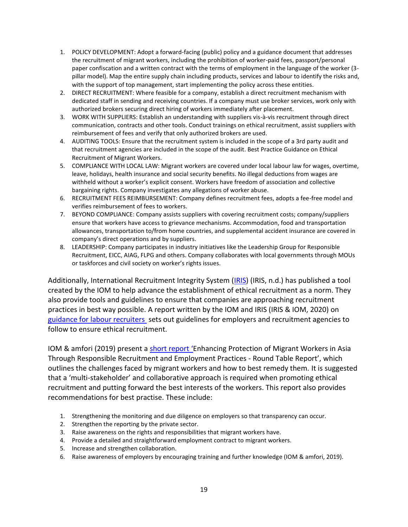- 1. POLICY DEVELOPMENT: Adopt a forward-facing (public) policy and a guidance document that addresses the recruitment of migrant workers, including the prohibition of worker-paid fees, passport/personal paper confiscation and a written contract with the terms of employment in the language of the worker (3 pillar model). Map the entire supply chain including products, services and labour to identify the risks and, with the support of top management, start implementing the policy across these entities.
- 2. DIRECT RECRUITMENT: Where feasible for a company, establish a direct recruitment mechanism with dedicated staff in sending and receiving countries. If a company must use broker services, work only with authorized brokers securing direct hiring of workers immediately after placement.
- 3. WORK WITH SUPPLIERS: Establish an understanding with suppliers vis-à-vis recruitment through direct communication, contracts and other tools. Conduct trainings on ethical recruitment, assist suppliers with reimbursement of fees and verify that only authorized brokers are used.
- 4. AUDITING TOOLS: Ensure that the recruitment system is included in the scope of a 3rd party audit and that recruitment agencies are included in the scope of the audit. Best Practice Guidance on Ethical Recruitment of Migrant Workers.
- 5. COMPLIANCE WITH LOCAL LAW: Migrant workers are covered under local labour law for wages, overtime, leave, holidays, health insurance and social security benefits. No illegal deductions from wages are withheld without a worker's explicit consent. Workers have freedom of association and collective bargaining rights. Company investigates any allegations of worker abuse.
- 6. RECRUITMENT FEES REIMBURSEMENT: Company defines recruitment fees, adopts a fee-free model and verifies reimbursement of fees to workers.
- 7. BEYOND COMPLIANCE: Company assists suppliers with covering recruitment costs; company/suppliers ensure that workers have access to grievance mechanisms. Accommodation, food and transportation allowances, transportation to/from home countries, and supplemental accident insurance are covered in company's direct operations and by suppliers.
- 8. LEADERSHIP: Company participates in industry initiatives like the Leadership Group for Responsible Recruitment, EICC, AIAG, FLPG and others. Company collaborates with local governments through MOUs or taskforces and civil society on worker's rights issues.

Additionally, International Recruitment Integrity System [\(IRIS\)](https://iris.iom.int/) (IRIS, n.d.) has published a tool created by the IOM to help advance the establishment of ethical recruitment as a norm. They also provide tools and guidelines to ensure that companies are approaching recruitment practices in best way possible. A report written by the IOM and IRIS (IRIS & IOM, 2020) on [guidance for labour recruiters](https://publications.iom.int/system/files/pdf/guidance-for-labor-recruiters.pdf) sets out guidelines for employers and recruitment agencies to follow to ensure ethical recruitment.

IOM & amfori (2019) present [a short report](https://www.amfori.org/sites/default/files/IOM-amfori%20roundtable%20report_clean_.pdf) 'Enhancing Protection of Migrant Workers in Asia Through Responsible Recruitment and Employment Practices - Round Table Report', which outlines the challenges faced by migrant workers and how to best remedy them. It is suggested that a 'multi-stakeholder' and collaborative approach is required when promoting ethical recruitment and putting forward the best interests of the workers. This report also provides recommendations for best practise. These include:

- 1. Strengthening the monitoring and due diligence on employers so that transparency can occur.
- 2. Strengthen the reporting by the private sector.
- 3. Raise awareness on the rights and responsibilities that migrant workers have.
- 4. Provide a detailed and straightforward employment contract to migrant workers.
- 5. Increase and strengthen collaboration.
- 6. Raise awareness of employers by encouraging training and further knowledge (IOM & amfori, 2019).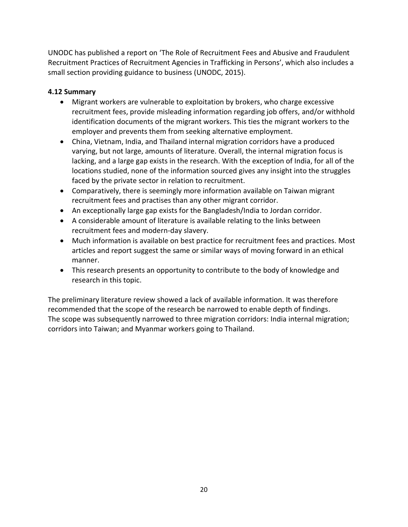UNODC has published a report on 'The Role of Recruitment Fees and Abusive and Fraudulent Recruitment Practices of Recruitment Agencies in Trafficking in Persons', which also includes a small section providing guidance to business (UNODC, 2015).

# **4.12 Summary**

- Migrant workers are vulnerable to exploitation by brokers, who charge excessive recruitment fees, provide misleading information regarding job offers, and/or withhold identification documents of the migrant workers. This ties the migrant workers to the employer and prevents them from seeking alternative employment.
- China, Vietnam, India, and Thailand internal migration corridors have a produced varying, but not large, amounts of literature. Overall, the internal migration focus is lacking, and a large gap exists in the research. With the exception of India, for all of the locations studied, none of the information sourced gives any insight into the struggles faced by the private sector in relation to recruitment.
- Comparatively, there is seemingly more information available on Taiwan migrant recruitment fees and practises than any other migrant corridor.
- An exceptionally large gap exists for the Bangladesh/India to Jordan corridor.
- A considerable amount of literature is available relating to the links between recruitment fees and modern-day slavery.
- Much information is available on best practice for recruitment fees and practices. Most articles and report suggest the same or similar ways of moving forward in an ethical manner.
- This research presents an opportunity to contribute to the body of knowledge and research in this topic.

The preliminary literature review showed a lack of available information. It was therefore recommended that the scope of the research be narrowed to enable depth of findings. The scope was subsequently narrowed to three migration corridors: India internal migration; corridors into Taiwan; and Myanmar workers going to Thailand.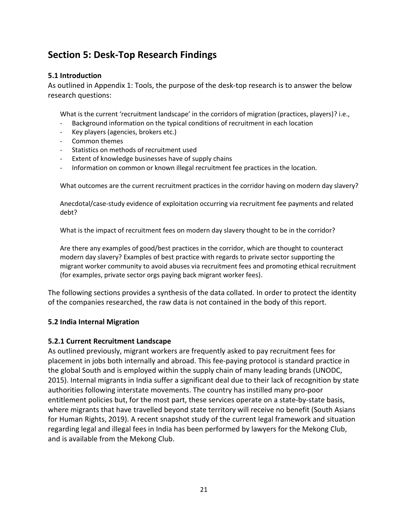# **Section 5: Desk-Top Research Findings**

## **5.1 Introduction**

As outlined in Appendix 1: Tools, the purpose of the desk-top research is to answer the below research questions:

What is the current 'recruitment landscape' in the corridors of migration (practices, players)? i.e.,

- Background information on the typical conditions of recruitment in each location
- Key players (agencies, brokers etc.)
- Common themes
- Statistics on methods of recruitment used
- Extent of knowledge businesses have of supply chains
- Information on common or known illegal recruitment fee practices in the location.

What outcomes are the current recruitment practices in the corridor having on modern day slavery?

Anecdotal/case-study evidence of exploitation occurring via recruitment fee payments and related debt?

What is the impact of recruitment fees on modern day slavery thought to be in the corridor?

Are there any examples of good/best practices in the corridor, which are thought to counteract modern day slavery? Examples of best practice with regards to private sector supporting the migrant worker community to avoid abuses via recruitment fees and promoting ethical recruitment (for examples, private sector orgs paying back migrant worker fees).

The following sections provides a synthesis of the data collated. In order to protect the identity of the companies researched, the raw data is not contained in the body of this report.

#### **5.2 India Internal Migration**

#### **5.2.1 Current Recruitment Landscape**

As outlined previously, migrant workers are frequently asked to pay recruitment fees for placement in jobs both internally and abroad. This fee-paying protocol is standard practice in the global South and is employed within the supply chain of many leading brands (UNODC, 2015). Internal migrants in India suffer a significant deal due to their lack of recognition by state authorities following interstate movements. The country has instilled many pro-poor entitlement policies but, for the most part, these services operate on a state-by-state basis, where migrants that have travelled beyond state territory will receive no benefit (South Asians for Human Rights, 2019). A recent snapshot study of the current legal framework and situation regarding legal and illegal fees in India has been performed by lawyers for the Mekong Club, and is available from the Mekong Club.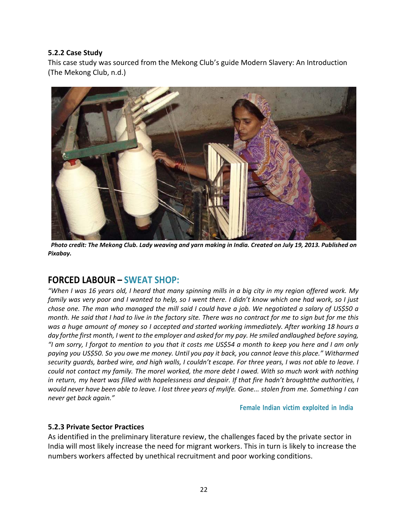#### **5.2.2 Case Study**

This case study was sourced from the Mekong Club's guide Modern Slavery: An Introduction (The Mekong Club, n.d.)



 *Photo credit: The Mekong Club. Lady weaving and yarn making in India. Created on July 19, 2013. Published on Pixabay.* 

# **FORCED LABOUR – SWEAT SHOP:**

*"When I was 16 years old, I heard that many spinning mills in a big city in my region offered work. My family was very poor and I wanted to help, so I went there. I didn't know which one had work, so I just chose one. The man who managed the mill said I could have a job. We negotiated a salary of US\$50 a month. He said that I had to live in the factory site. There was no contract for me to sign but for me this was a huge amount of money so I accepted and started working immediately. After working 18 hours a day forthe first month, I went to the employer and asked for my pay. He smiled andlaughed before saying, "I am sorry, I forgot to mention to you that it costs me US\$54 a month to keep you here and I am only paying you US\$50. So you owe me money. Until you pay it back, you cannot leave this place." Witharmed security guards, barbed wire, and high walls, I couldn't escape. For three years, I was not able to leave. I could not contact my family. The moreI worked, the more debt I owed. With so much work with nothing in return, my heart was filled with hopelessness and despair. If that fire hadn't broughtthe authorities, I* would never have been able to leave. I lost three years of mylife. Gone... stolen from me. Something I can *never get back again."*

**Female Indian victim exploited in India**

#### **5.2.3 Private Sector Practices**

As identified in the preliminary literature review, the challenges faced by the private sector in India will most likely increase the need for migrant workers. This in turn is likely to increase the numbers workers affected by unethical recruitment and poor working conditions.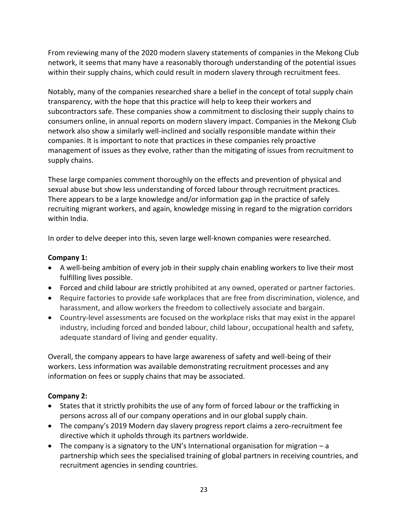From reviewing many of the 2020 modern slavery statements of companies in the Mekong Club network, it seems that many have a reasonably thorough understanding of the potential issues within their supply chains, which could result in modern slavery through recruitment fees.

Notably, many of the companies researched share a belief in the concept of total supply chain transparency, with the hope that this practice will help to keep their workers and subcontractors safe. These companies show a commitment to disclosing their supply chains to consumers online, in annual reports on modern slavery impact. Companies in the Mekong Club network also show a similarly well-inclined and socially responsible mandate within their companies. It is important to note that practices in these companies rely proactive management of issues as they evolve, rather than the mitigating of issues from recruitment to supply chains.

These large companies comment thoroughly on the effects and prevention of physical and sexual abuse but show less understanding of forced labour through recruitment practices. There appears to be a large knowledge and/or information gap in the practice of safely recruiting migrant workers, and again, knowledge missing in regard to the migration corridors within India.

In order to delve deeper into this, seven large well-known companies were researched.

# **Company 1:**

- A well-being ambition of every job in their supply chain enabling workers to live their most fulfilling lives possible.
- Forced and child labour are strictly prohibited at any owned, operated or partner factories.
- Require factories to provide safe workplaces that are free from discrimination, violence, and harassment, and allow workers the freedom to collectively associate and bargain.
- Country-level assessments are focused on the workplace risks that may exist in the apparel industry, including forced and bonded labour, child labour, occupational health and safety, adequate standard of living and gender equality.

Overall, the company appears to have large awareness of safety and well-being of their workers. Less information was available demonstrating recruitment processes and any information on fees or supply chains that may be associated.

# **Company 2:**

- States that it strictly prohibits the use of any form of forced labour or the trafficking in persons across all of our company operations and in our global supply chain.
- The company's 2019 Modern day slavery progress report claims a zero-recruitment fee directive which it upholds through its partners worldwide.
- The company is a signatory to the UN's International organisation for migration  $-a$ partnership which sees the specialised training of global partners in receiving countries, and recruitment agencies in sending countries.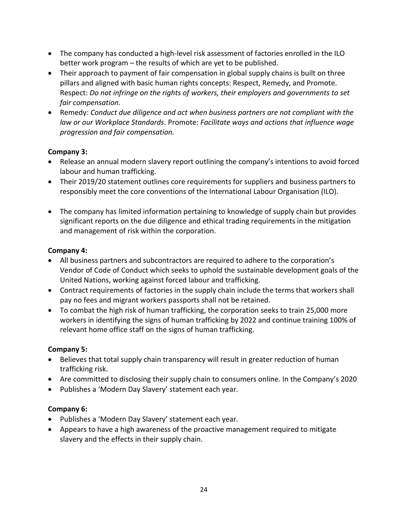- The company has conducted a high-level risk assessment of factories enrolled in the ILO better work program – the results of which are yet to be published.
- Their approach to payment of fair compensation in global supply chains is built on three pillars and aligned with basic human rights concepts: Respect, Remedy, and Promote. Respect: *Do not infringe on the rights of workers, their employers and governments to set fair compensation.*
- Remedy: *Conduct due diligence and act when business partners are not compliant with the law or our Workplace Standards.* Promote: *Facilitate ways and actions that influence wage progression and fair compensation.*

# **Company 3:**

- Release an annual modern slavery report outlining the company's intentions to avoid forced labour and human trafficking.
- Their 2019/20 statement outlines core requirements for suppliers and business partners to responsibly meet the core conventions of the International Labour Organisation (ILO).
- The company has limited information pertaining to knowledge of supply chain but provides significant reports on the due diligence and ethical trading requirements in the mitigation and management of risk within the corporation.

# **Company 4:**

- All business partners and subcontractors are required to adhere to the corporation's Vendor of Code of Conduct which seeks to uphold the sustainable development goals of the United Nations, working against forced labour and trafficking.
- Contract requirements of factories in the supply chain include the terms that workers shall pay no fees and migrant workers passports shall not be retained.
- To combat the high risk of human trafficking, the corporation seeks to train 25,000 more workers in identifying the signs of human trafficking by 2022 and continue training 100% of relevant home office staff on the signs of human trafficking.

# **Company 5:**

- Believes that total supply chain transparency will result in greater reduction of human trafficking risk.
- Are committed to disclosing their supply chain to consumers online. In the Company's 2020
- Publishes a 'Modern Day Slavery' statement each year.

# **Company 6:**

- Publishes a 'Modern Day Slavery' statement each year.
- Appears to have a high awareness of the proactive management required to mitigate slavery and the effects in their supply chain.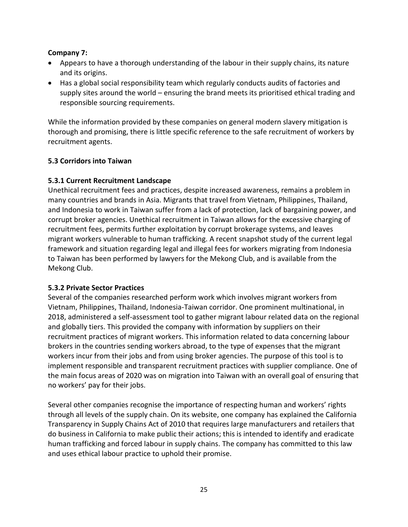## **Company 7:**

- Appears to have a thorough understanding of the labour in their supply chains, its nature and its origins.
- Has a global social responsibility team which regularly conducts audits of factories and supply sites around the world – ensuring the brand meets its prioritised ethical trading and responsible sourcing requirements.

While the information provided by these companies on general modern slavery mitigation is thorough and promising, there is little specific reference to the safe recruitment of workers by recruitment agents.

# **5.3 Corridors into Taiwan**

#### **5.3.1 Current Recruitment Landscape**

Unethical recruitment fees and practices, despite increased awareness, remains a problem in many countries and brands in Asia. Migrants that travel from Vietnam, Philippines, Thailand, and Indonesia to work in Taiwan suffer from a lack of protection, lack of bargaining power, and corrupt broker agencies. Unethical recruitment in Taiwan allows for the excessive charging of recruitment fees, permits further exploitation by corrupt brokerage systems, and leaves migrant workers vulnerable to human trafficking. A recent snapshot study of the current legal framework and situation regarding legal and illegal fees for workers migrating from Indonesia to Taiwan has been performed by lawyers for the Mekong Club, and is available from the Mekong Club.

#### **5.3.2 Private Sector Practices**

Several of the companies researched perform work which involves migrant workers from Vietnam, Philippines, Thailand, Indonesia-Taiwan corridor. One prominent multinational, in 2018, administered a self-assessment tool to gather migrant labour related data on the regional and globally tiers. This provided the company with information by suppliers on their recruitment practices of migrant workers. This information related to data concerning labour brokers in the countries sending workers abroad, to the type of expenses that the migrant workers incur from their jobs and from using broker agencies. The purpose of this tool is to implement responsible and transparent recruitment practices with supplier compliance. One of the main focus areas of 2020 was on migration into Taiwan with an overall goal of ensuring that no workers' pay for their jobs.

Several other companies recognise the importance of respecting human and workers' rights through all levels of the supply chain. On its website, one company has explained the California Transparency in Supply Chains Act of 2010 that requires large manufacturers and retailers that do business in California to make public their actions; this is intended to identify and eradicate human trafficking and forced labour in supply chains. The company has committed to this law and uses ethical labour practice to uphold their promise.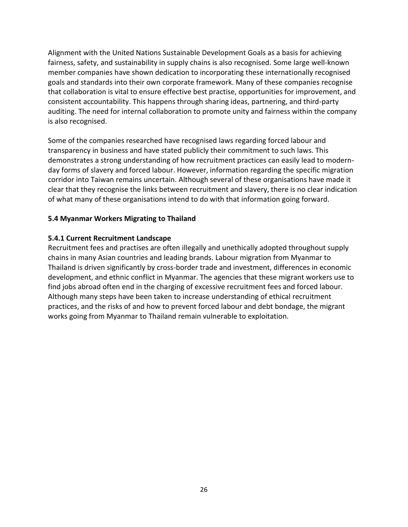Alignment with the United Nations Sustainable Development Goals as a basis for achieving fairness, safety, and sustainability in supply chains is also recognised. Some large well-known member companies have shown dedication to incorporating these internationally recognised goals and standards into their own corporate framework. Many of these companies recognise that collaboration is vital to ensure effective best practise, opportunities for improvement, and consistent accountability. This happens through sharing ideas, partnering, and third-party auditing. The need for internal collaboration to promote unity and fairness within the company is also recognised.

Some of the companies researched have recognised laws regarding forced labour and transparency in business and have stated publicly their commitment to such laws. This demonstrates a strong understanding of how recruitment practices can easily lead to modernday forms of slavery and forced labour. However, information regarding the specific migration corridor into Taiwan remains uncertain. Although several of these organisations have made it clear that they recognise the links between recruitment and slavery, there is no clear indication of what many of these organisations intend to do with that information going forward.

#### **5.4 Myanmar Workers Migrating to Thailand**

#### **5.4.1 Current Recruitment Landscape**

Recruitment fees and practises are often illegally and unethically adopted throughout supply chains in many Asian countries and leading brands. Labour migration from Myanmar to Thailand is driven significantly by cross-border trade and investment, differences in economic development, and ethnic conflict in Myanmar. The agencies that these migrant workers use to find jobs abroad often end in the charging of excessive recruitment fees and forced labour. Although many steps have been taken to increase understanding of ethical recruitment practices, and the risks of and how to prevent forced labour and debt bondage, the migrant works going from Myanmar to Thailand remain vulnerable to exploitation.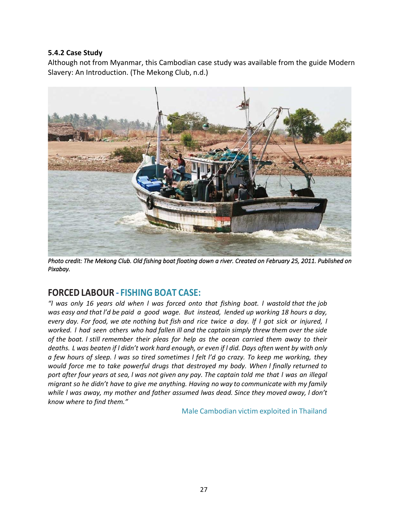#### **5.4.2 Case Study**

Although not from Myanmar, this Cambodian case study was available from the guide Modern Slavery: An Introduction. (The Mekong Club, n.d.)



Photo credit: The Mekong Club. Old fishing boat floating down a river. Created on February 25, 2011. Published on *Pixabay.* 

# **FORCED LABOUR - FISHING BOAT CASE:**

*"l was only 16 years old when l was forced onto that fishing boat. l wastold that the job was easy and that l'd be paid a good wage. But instead, lended up working 18 hours a day,* every day. For food, we ate nothing but fish and rice twice a day. If I got sick or injured, I *worked. l had seen others who had fallen ill and the captain simply threw them over the side of the boat. l still remember their pleas for help as the ocean carried them away to their deaths. L was beaten if l didn't work hard enough, or even if l did. Days often went by with only a few hours of sleep. l was so tired sometimes l felt l'd go crazy. To keep me working, they would force me to take powerful drugs that destroyed my body. When l finally returned to port after four years at sea, l was not given any pay. The captain told me that l was an illegal migrant so he didn't have to give me anything. Having no way to communicate with my family while l was away, my mother and father assumed lwas dead. Since they moved away, l don't know where to find them."*

Male Cambodian victim exploited in Thailand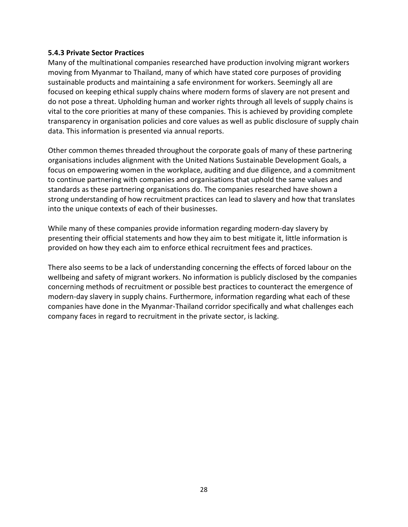#### **5.4.3 Private Sector Practices**

Many of the multinational companies researched have production involving migrant workers moving from Myanmar to Thailand, many of which have stated core purposes of providing sustainable products and maintaining a safe environment for workers. Seemingly all are focused on keeping ethical supply chains where modern forms of slavery are not present and do not pose a threat. Upholding human and worker rights through all levels of supply chains is vital to the core priorities at many of these companies. This is achieved by providing complete transparency in organisation policies and core values as well as public disclosure of supply chain data. This information is presented via annual reports.

Other common themes threaded throughout the corporate goals of many of these partnering organisations includes alignment with the United Nations Sustainable Development Goals, a focus on empowering women in the workplace, auditing and due diligence, and a commitment to continue partnering with companies and organisations that uphold the same values and standards as these partnering organisations do. The companies researched have shown a strong understanding of how recruitment practices can lead to slavery and how that translates into the unique contexts of each of their businesses.

While many of these companies provide information regarding modern-day slavery by presenting their official statements and how they aim to best mitigate it, little information is provided on how they each aim to enforce ethical recruitment fees and practices.

There also seems to be a lack of understanding concerning the effects of forced labour on the wellbeing and safety of migrant workers. No information is publicly disclosed by the companies concerning methods of recruitment or possible best practices to counteract the emergence of modern-day slavery in supply chains. Furthermore, information regarding what each of these companies have done in the Myanmar-Thailand corridor specifically and what challenges each company faces in regard to recruitment in the private sector, is lacking.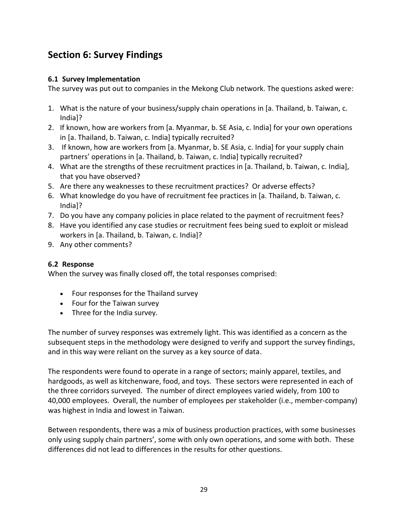# **Section 6: Survey Findings**

# **6.1 Survey Implementation**

The survey was put out to companies in the Mekong Club network. The questions asked were:

- 1. What is the nature of your business/supply chain operations in [a. Thailand, b. Taiwan, c. India]?
- 2. If known, how are workers from [a. Myanmar, b. SE Asia, c. India] for your own operations in [a. Thailand, b. Taiwan, c. India] typically recruited?
- 3. If known, how are workers from [a. Myanmar, b. SE Asia, c. India] for your supply chain partners' operations in [a. Thailand, b. Taiwan, c. India] typically recruited?
- 4. What are the strengths of these recruitment practices in [a. Thailand, b. Taiwan, c. India], that you have observed?
- 5. Are there any weaknesses to these recruitment practices? Or adverse effects?
- 6. What knowledge do you have of recruitment fee practices in [a. Thailand, b. Taiwan, c. India]?
- 7. Do you have any company policies in place related to the payment of recruitment fees?
- 8. Have you identified any case studies or recruitment fees being sued to exploit or mislead workers in [a. Thailand, b. Taiwan, c. India]?
- 9. Any other comments?

# **6.2 Response**

When the survey was finally closed off, the total responses comprised:

- Four responses for the Thailand survey
- Four for the Taiwan survey
- Three for the India survey.

The number of survey responses was extremely light. This was identified as a concern as the subsequent steps in the methodology were designed to verify and support the survey findings, and in this way were reliant on the survey as a key source of data.

The respondents were found to operate in a range of sectors; mainly apparel, textiles, and hardgoods, as well as kitchenware, food, and toys. These sectors were represented in each of the three corridors surveyed. The number of direct employees varied widely, from 100 to 40,000 employees. Overall, the number of employees per stakeholder (i.e., member-company) was highest in India and lowest in Taiwan.

Between respondents, there was a mix of business production practices, with some businesses only using supply chain partners', some with only own operations, and some with both. These differences did not lead to differences in the results for other questions.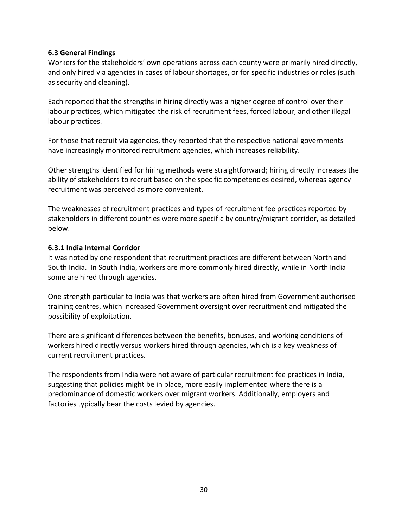#### **6.3 General Findings**

Workers for the stakeholders' own operations across each county were primarily hired directly, and only hired via agencies in cases of labour shortages, or for specific industries or roles (such as security and cleaning).

Each reported that the strengths in hiring directly was a higher degree of control over their labour practices, which mitigated the risk of recruitment fees, forced labour, and other illegal labour practices.

For those that recruit via agencies, they reported that the respective national governments have increasingly monitored recruitment agencies, which increases reliability.

Other strengths identified for hiring methods were straightforward; hiring directly increases the ability of stakeholders to recruit based on the specific competencies desired, whereas agency recruitment was perceived as more convenient.

The weaknesses of recruitment practices and types of recruitment fee practices reported by stakeholders in different countries were more specific by country/migrant corridor, as detailed below.

#### **6.3.1 India Internal Corridor**

It was noted by one respondent that recruitment practices are different between North and South India. In South India, workers are more commonly hired directly, while in North India some are hired through agencies.

One strength particular to India was that workers are often hired from Government authorised training centres, which increased Government oversight over recruitment and mitigated the possibility of exploitation.

There are significant differences between the benefits, bonuses, and working conditions of workers hired directly versus workers hired through agencies, which is a key weakness of current recruitment practices.

The respondents from India were not aware of particular recruitment fee practices in India, suggesting that policies might be in place, more easily implemented where there is a predominance of domestic workers over migrant workers. Additionally, employers and factories typically bear the costs levied by agencies.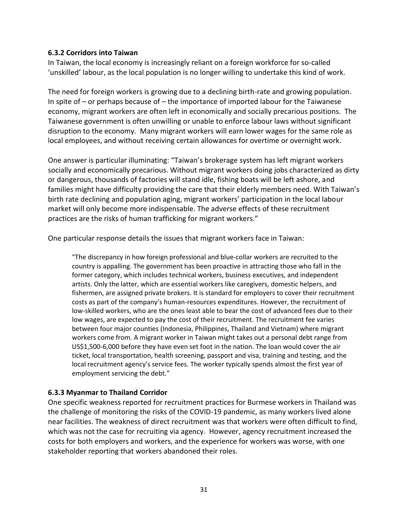#### **6.3.2 Corridors into Taiwan**

In Taiwan, the local economy is increasingly reliant on a foreign workforce for so-called 'unskilled' labour, as the local population is no longer willing to undertake this kind of work.

The need for foreign workers is growing due to a declining birth-rate and growing population. In spite of – or perhaps because of – the importance of imported labour for the Taiwanese economy, migrant workers are often left in economically and socially precarious positions. The Taiwanese government is often unwilling or unable to enforce labour laws without significant disruption to the economy. Many migrant workers will earn lower wages for the same role as local employees, and without receiving certain allowances for overtime or overnight work.

One answer is particular illuminating: "Taiwan's brokerage system has left migrant workers socially and economically precarious. Without migrant workers doing jobs characterized as dirty or dangerous, thousands of factories will stand idle, fishing boats will be left ashore, and families might have difficulty providing the care that their elderly members need. With Taiwan's birth rate declining and population aging, migrant workers' participation in the local labour market will only become more indispensable. The adverse effects of these recruitment practices are the risks of human trafficking for migrant workers."

One particular response details the issues that migrant workers face in Taiwan:

"The discrepancy in how foreign professional and blue-collar workers are recruited to the country is appalling. The government has been proactive in attracting those who fall in the former category, which includes technical workers, business executives, and independent artists. Only the latter, which are essential workers like caregivers, domestic helpers, and fishermen, are assigned private brokers. It is standard for employers to cover their recruitment costs as part of the company's human-resources expenditures. However, the recruitment of low-skilled workers, who are the ones least able to bear the cost of advanced fees due to their low wages, are expected to pay the cost of their recruitment. The recruitment fee varies between four major counties (Indonesia, Philippines, Thailand and Vietnam) where migrant workers come from. A migrant worker in Taiwan might takes out a personal debt range from US\$1,500-6,000 before they have even set foot in the nation. The loan would cover the air ticket, local transportation, health screening, passport and visa, training and testing, and the local recruitment agency's service fees. The worker typically spends almost the first year of employment servicing the debt."

#### **6.3.3 Myanmar to Thailand Corridor**

One specific weakness reported for recruitment practices for Burmese workers in Thailand was the challenge of monitoring the risks of the COVID-19 pandemic, as many workers lived alone near facilities. The weakness of direct recruitment was that workers were often difficult to find, which was not the case for recruiting via agency. However, agency recruitment increased the costs for both employers and workers, and the experience for workers was worse, with one stakeholder reporting that workers abandoned their roles.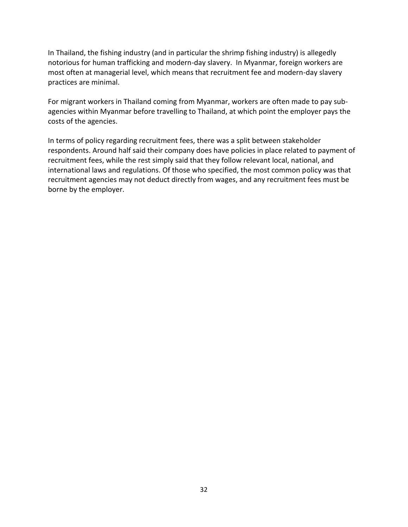In Thailand, the fishing industry (and in particular the shrimp fishing industry) is allegedly notorious for human trafficking and modern-day slavery. In Myanmar, foreign workers are most often at managerial level, which means that recruitment fee and modern-day slavery practices are minimal.

For migrant workers in Thailand coming from Myanmar, workers are often made to pay subagencies within Myanmar before travelling to Thailand, at which point the employer pays the costs of the agencies.

In terms of policy regarding recruitment fees, there was a split between stakeholder respondents. Around half said their company does have policies in place related to payment of recruitment fees, while the rest simply said that they follow relevant local, national, and international laws and regulations. Of those who specified, the most common policy was that recruitment agencies may not deduct directly from wages, and any recruitment fees must be borne by the employer.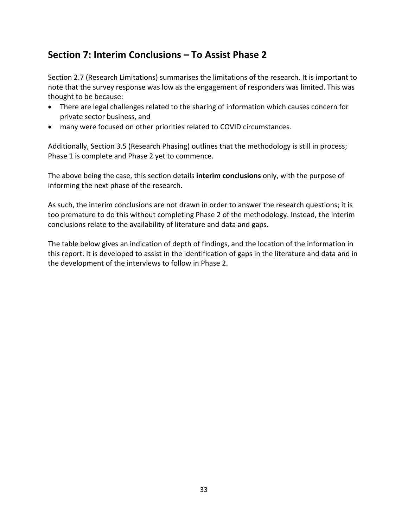# **Section 7: Interim Conclusions – To Assist Phase 2**

Section 2.7 (Research Limitations) summarises the limitations of the research. It is important to note that the survey response was low as the engagement of responders was limited. This was thought to be because:

- There are legal challenges related to the sharing of information which causes concern for private sector business, and
- many were focused on other priorities related to COVID circumstances.

Additionally, Section 3.5 (Research Phasing) outlines that the methodology is still in process; Phase 1 is complete and Phase 2 yet to commence.

The above being the case, this section details **interim conclusions** only, with the purpose of informing the next phase of the research.

As such, the interim conclusions are not drawn in order to answer the research questions; it is too premature to do this without completing Phase 2 of the methodology. Instead, the interim conclusions relate to the availability of literature and data and gaps.

The table below gives an indication of depth of findings, and the location of the information in this report. It is developed to assist in the identification of gaps in the literature and data and in the development of the interviews to follow in Phase 2.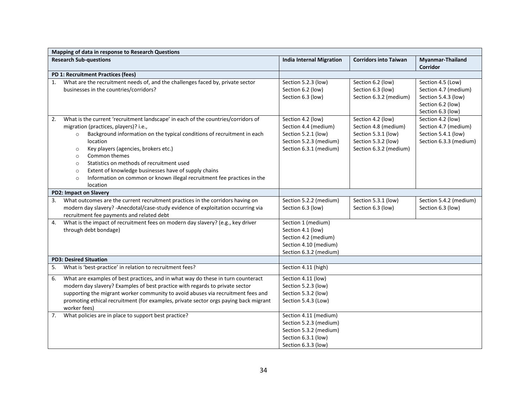|                               | Mapping of data in response to Research Questions                                                                                                                                                                                                                                                                                                                                                                                                                                                                                        |                                                                                                                         |                                                                                                                   |                                                                                                            |  |
|-------------------------------|------------------------------------------------------------------------------------------------------------------------------------------------------------------------------------------------------------------------------------------------------------------------------------------------------------------------------------------------------------------------------------------------------------------------------------------------------------------------------------------------------------------------------------------|-------------------------------------------------------------------------------------------------------------------------|-------------------------------------------------------------------------------------------------------------------|------------------------------------------------------------------------------------------------------------|--|
| <b>Research Sub-questions</b> |                                                                                                                                                                                                                                                                                                                                                                                                                                                                                                                                          | <b>India Internal Migration</b>                                                                                         | <b>Corridors into Taiwan</b>                                                                                      | <b>Myanmar-Thailand</b><br><b>Corridor</b>                                                                 |  |
|                               | PD 1: Recruitment Practices (fees)                                                                                                                                                                                                                                                                                                                                                                                                                                                                                                       |                                                                                                                         |                                                                                                                   |                                                                                                            |  |
| 1.                            | What are the recruitment needs of, and the challenges faced by, private sector<br>businesses in the countries/corridors?                                                                                                                                                                                                                                                                                                                                                                                                                 | Section 5.2.3 (low)<br>Section 6.2 (low)<br>Section 6.3 (low)                                                           | Section 6.2 (low)<br>Section 6.3 (low)<br>Section 6.3.2 (medium)                                                  | Section 4.5 (Low)<br>Section 4.7 (medium)<br>Section 5.4.3 (low)<br>Section 6.2 (low)<br>Section 6.3 (low) |  |
| 2.                            | What is the current 'recruitment landscape' in each of the countries/corridors of<br>migration (practices, players)? i.e.,<br>Background information on the typical conditions of recruitment in each<br>$\circ$<br>location<br>Key players (agencies, brokers etc.)<br>$\circ$<br>Common themes<br>$\circ$<br>Statistics on methods of recruitment used<br>$\circ$<br>Extent of knowledge businesses have of supply chains<br>$\circ$<br>Information on common or known illegal recruitment fee practices in the<br>$\circ$<br>location | Section 4.2 (low)<br>Section 4.4 (medium)<br>Section 5.2.1 (low)<br>Section 5.2.3 (medium)<br>Section 6.3.1 (medium)    | Section 4.2 (low)<br>Section 4.8 (medium)<br>Section 5.3.1 (low)<br>Section 5.3.2 (low)<br>Section 6.3.2 (medium) | Section 4.2 (low)<br>Section 4.7 (medium)<br>Section 5.4.1 (low)<br>Section 6.3.3 (medium)                 |  |
|                               | <b>PD2: Impact on Slavery</b>                                                                                                                                                                                                                                                                                                                                                                                                                                                                                                            |                                                                                                                         |                                                                                                                   |                                                                                                            |  |
| 3.                            | What outcomes are the current recruitment practices in the corridors having on<br>modern day slavery? - Anecdotal/case-study evidence of exploitation occurring via<br>recruitment fee payments and related debt                                                                                                                                                                                                                                                                                                                         | Section 5.2.2 (medium)<br>Section 6.3 (low)                                                                             | Section 5.3.1 (low)<br>Section 6.3 (low)                                                                          | Section 5.4.2 (medium)<br>Section 6.3 (low)                                                                |  |
| 4.                            | What is the impact of recruitment fees on modern day slavery? (e.g., key driver<br>through debt bondage)                                                                                                                                                                                                                                                                                                                                                                                                                                 | Section 1 (medium)<br>Section 4.1 (low)<br>Section 4.2 (medium)<br>Section 4.10 (medium)<br>Section 6.3.2 (medium)      |                                                                                                                   |                                                                                                            |  |
|                               | <b>PD3: Desired Situation</b>                                                                                                                                                                                                                                                                                                                                                                                                                                                                                                            |                                                                                                                         |                                                                                                                   |                                                                                                            |  |
| 5.                            | What is 'best-practice' in relation to recruitment fees?                                                                                                                                                                                                                                                                                                                                                                                                                                                                                 | Section 4.11 (high)                                                                                                     |                                                                                                                   |                                                                                                            |  |
| 6.                            | What are examples of best practices, and in what way do these in turn counteract<br>modern day slavery? Examples of best practice with regards to private sector<br>supporting the migrant worker community to avoid abuses via recruitment fees and<br>promoting ethical recruitment (for examples, private sector orgs paying back migrant<br>worker fees)                                                                                                                                                                             | Section 4.11 (low)<br>Section 5.2.3 (low)<br>Section 5.3.2 (low)<br>Section 5.4.3 (Low)                                 |                                                                                                                   |                                                                                                            |  |
| 7.                            | What policies are in place to support best practice?                                                                                                                                                                                                                                                                                                                                                                                                                                                                                     | Section 4.11 (medium)<br>Section 5.2.3 (medium)<br>Section 5.3.2 (medium)<br>Section 6.3.1 (low)<br>Section 6.3.3 (low) |                                                                                                                   |                                                                                                            |  |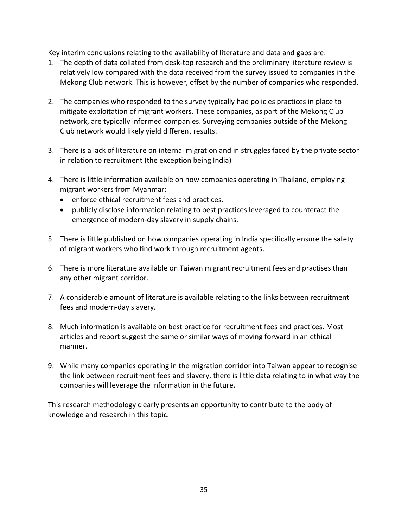Key interim conclusions relating to the availability of literature and data and gaps are:

- 1. The depth of data collated from desk-top research and the preliminary literature review is relatively low compared with the data received from the survey issued to companies in the Mekong Club network. This is however, offset by the number of companies who responded.
- 2. The companies who responded to the survey typically had policies practices in place to mitigate exploitation of migrant workers. These companies, as part of the Mekong Club network, are typically informed companies. Surveying companies outside of the Mekong Club network would likely yield different results.
- 3. There is a lack of literature on internal migration and in struggles faced by the private sector in relation to recruitment (the exception being India)
- 4. There is little information available on how companies operating in Thailand, employing migrant workers from Myanmar:
	- enforce ethical recruitment fees and practices.
	- publicly disclose information relating to best practices leveraged to counteract the emergence of modern-day slavery in supply chains.
- 5. There is little published on how companies operating in India specifically ensure the safety of migrant workers who find work through recruitment agents.
- 6. There is more literature available on Taiwan migrant recruitment fees and practises than any other migrant corridor.
- 7. A considerable amount of literature is available relating to the links between recruitment fees and modern-day slavery.
- 8. Much information is available on best practice for recruitment fees and practices. Most articles and report suggest the same or similar ways of moving forward in an ethical manner.
- 9. While many companies operating in the migration corridor into Taiwan appear to recognise the link between recruitment fees and slavery, there is little data relating to in what way the companies will leverage the information in the future.

This research methodology clearly presents an opportunity to contribute to the body of knowledge and research in this topic.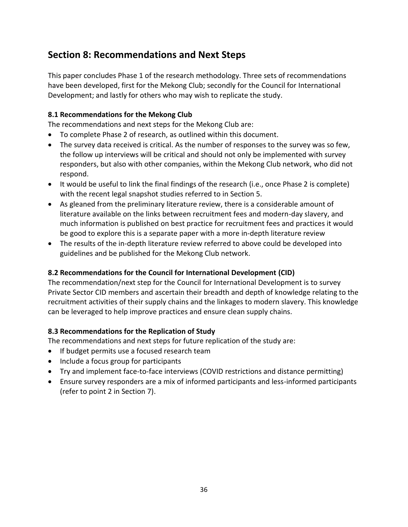# **Section 8: Recommendations and Next Steps**

This paper concludes Phase 1 of the research methodology. Three sets of recommendations have been developed, first for the Mekong Club; secondly for the Council for International Development; and lastly for others who may wish to replicate the study.

# **8.1 Recommendations for the Mekong Club**

The recommendations and next steps for the Mekong Club are:

- To complete Phase 2 of research, as outlined within this document.
- The survey data received is critical. As the number of responses to the survey was so few, the follow up interviews will be critical and should not only be implemented with survey responders, but also with other companies, within the Mekong Club network, who did not respond.
- It would be useful to link the final findings of the research (i.e., once Phase 2 is complete) with the recent legal snapshot studies referred to in Section 5.
- As gleaned from the preliminary literature review, there is a considerable amount of literature available on the links between recruitment fees and modern-day slavery, and much information is published on best practice for recruitment fees and practices it would be good to explore this is a separate paper with a more in-depth literature review
- The results of the in-depth literature review referred to above could be developed into guidelines and be published for the Mekong Club network.

# **8.2 Recommendations for the Council for International Development (CID)**

The recommendation/next step for the Council for International Development is to survey Private Sector CID members and ascertain their breadth and depth of knowledge relating to the recruitment activities of their supply chains and the linkages to modern slavery. This knowledge can be leveraged to help improve practices and ensure clean supply chains.

# **8.3 Recommendations for the Replication of Study**

The recommendations and next steps for future replication of the study are:

- If budget permits use a focused research team
- Include a focus group for participants
- Try and implement face-to-face interviews (COVID restrictions and distance permitting)
- Ensure survey responders are a mix of informed participants and less-informed participants (refer to point 2 in Section 7).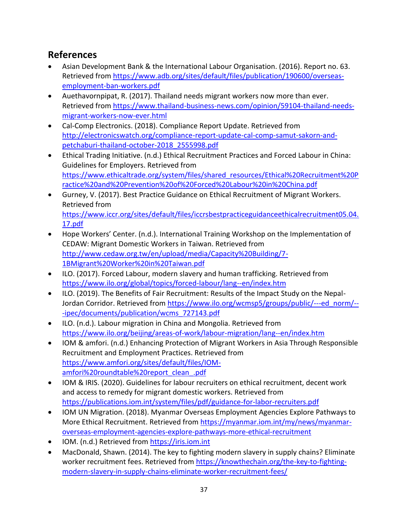# **References**

- Asian Development Bank & the International Labour Organisation. (2016). Report no. 63. Retrieved from [https://www.adb.org/sites/default/files/publication/190600/overseas](https://www.adb.org/sites/default/files/publication/190600/overseas-employment-ban-workers.pdf)[employment-ban-workers.pdf](https://www.adb.org/sites/default/files/publication/190600/overseas-employment-ban-workers.pdf)
- Auethavornpipat, R. (2017). Thailand needs migrant workers now more than ever. Retrieved from [https://www.thailand-business-news.com/opinion/59104-thailand-needs](https://www.thailand-business-news.com/opinion/59104-thailand-needs-migrant-workers-now-ever.html)[migrant-workers-now-ever.html](https://www.thailand-business-news.com/opinion/59104-thailand-needs-migrant-workers-now-ever.html)
- Cal-Comp Electronics. (2018). Compliance Report Update. Retrieved from [http://electronicswatch.org/compliance-report-update-cal-comp-samut-sakorn-and](http://electronicswatch.org/compliance-report-update-cal-comp-samut-sakorn-and-petchaburi-thailand-october-2018_2555998.pdf)[petchaburi-thailand-october-2018\\_2555998.pdf](http://electronicswatch.org/compliance-report-update-cal-comp-samut-sakorn-and-petchaburi-thailand-october-2018_2555998.pdf)
- Ethical Trading Initiative. (n.d.) Ethical Recruitment Practices and Forced Labour in China: Guidelines for Employers. Retrieved from [https://www.ethicaltrade.org/system/files/shared\\_resources/Ethical%20Recruitment%20P](https://www.ethicaltrade.org/system/files/shared_resources/Ethical%20Recruitment%20Practice%20and%20Prevention%20of%20Forced%20Labour%20in%20China.pdf) [ractice%20and%20Prevention%20of%20Forced%20Labour%20in%20China.pdf](https://www.ethicaltrade.org/system/files/shared_resources/Ethical%20Recruitment%20Practice%20and%20Prevention%20of%20Forced%20Labour%20in%20China.pdf)
- Gurney, V. (2017). Best Practice Guidance on Ethical Recruitment of Migrant Workers. Retrieved from [https://www.iccr.org/sites/default/files/iccrsbestpracticeguidanceethicalrecruitment05.04.](https://www.iccr.org/sites/default/files/iccrsbestpracticeguidanceethicalrecruitment05.04.17.pdf) [17.pdf](https://www.iccr.org/sites/default/files/iccrsbestpracticeguidanceethicalrecruitment05.04.17.pdf)
- Hope Workers' Center. (n.d.). International Training Workshop on the Implementation of CEDAW: Migrant Domestic Workers in Taiwan. Retrieved from [http://www.cedaw.org.tw/en/upload/media/Capacity%20Building/7-](http://www.cedaw.org.tw/en/upload/media/Capacity%20Building/7-1BMigrant%20Worker%20in%20Taiwan.pdf) [1BMigrant%20Worker%20in%20Taiwan.pdf](http://www.cedaw.org.tw/en/upload/media/Capacity%20Building/7-1BMigrant%20Worker%20in%20Taiwan.pdf)
- ILO. (2017). Forced Labour, modern slavery and human trafficking. Retrieved from <https://www.ilo.org/global/topics/forced-labour/lang--en/index.htm>
- ILO. (2019). The Benefits of Fair Recruitment: Results of the Impact Study on the Nepal-Jordan Corridor. Retrieved from [https://www.ilo.org/wcmsp5/groups/public/---ed\\_norm/--](https://www.ilo.org/wcmsp5/groups/public/---ed_norm/---ipec/documents/publication/wcms_727143.pdf) [-ipec/documents/publication/wcms\\_727143.pdf](https://www.ilo.org/wcmsp5/groups/public/---ed_norm/---ipec/documents/publication/wcms_727143.pdf)
- ILO. (n.d.). Labour migration in China and Mongolia. Retrieved from <https://www.ilo.org/beijing/areas-of-work/labour-migration/lang--en/index.htm>
- IOM & amfori. (n.d.) Enhancing Protection of Migrant Workers in Asia Through Responsible Recruitment and Employment Practices. Retrieved from [https://www.amfori.org/sites/default/files/IOM](https://www.amfori.org/sites/default/files/IOM-amfori%20roundtable%20report_clean_.pdf)[amfori%20roundtable%20report\\_clean\\_.pdf](https://www.amfori.org/sites/default/files/IOM-amfori%20roundtable%20report_clean_.pdf)
- IOM & IRIS. (2020). Guidelines for labour recruiters on ethical recruitment, decent work and access to remedy for migrant domestic workers. Retrieved from <https://publications.iom.int/system/files/pdf/guidance-for-labor-recruiters.pdf>
- IOM UN Migration. (2018). Myanmar Overseas Employment Agencies Explore Pathways to More Ethical Recruitment. Retrieved fro[m https://myanmar.iom.int/my/news/myanmar](https://myanmar.iom.int/my/news/myanmar-overseas-employment-agencies-explore-pathways-more-ethical-recruitment)[overseas-employment-agencies-explore-pathways-more-ethical-recruitment](https://myanmar.iom.int/my/news/myanmar-overseas-employment-agencies-explore-pathways-more-ethical-recruitment)
- IOM. (n.d.) Retrieved from [https://iris.iom.int](https://iris.iom.int/)
- MacDonald, Shawn. (2014). The key to fighting modern slavery in supply chains? Eliminate worker recruitment fees. Retrieved from [https://knowthechain.org/the-key-to-fighting](https://knowthechain.org/the-key-to-fighting-modern-slavery-in-supply-chains-eliminate-worker-recruitment-fees/)[modern-slavery-in-supply-chains-eliminate-worker-recruitment-fees/](https://knowthechain.org/the-key-to-fighting-modern-slavery-in-supply-chains-eliminate-worker-recruitment-fees/)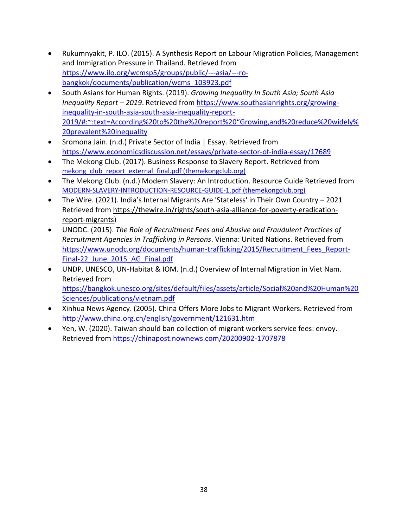- Rukumnyakit, P. ILO. (2015). A Synthesis Report on Labour Migration Policies, Management and Immigration Pressure in Thailand. Retrieved from [https://www.ilo.org/wcmsp5/groups/public/---asia/---ro](https://www.ilo.org/wcmsp5/groups/public/---asia/---ro-bangkok/documents/publication/wcms_103923.pdf)[bangkok/documents/publication/wcms\\_103923.pdf](https://www.ilo.org/wcmsp5/groups/public/---asia/---ro-bangkok/documents/publication/wcms_103923.pdf)
- South Asians for Human Rights. (2019). *Growing Inequality In South Asia; South Asia Inequality Report – 2019*. Retrieved from [https://www.southasianrights.org/growing](https://www.southasianrights.org/growing-inequality-in-south-asia-south-asia-inequality-report-2019/#:~:text=According%20to%20the%20report%20)[inequality-in-south-asia-south-asia-inequality-report-](https://www.southasianrights.org/growing-inequality-in-south-asia-south-asia-inequality-report-2019/#:~:text=According%20to%20the%20report%20)[2019/#:~:text=According%20to%20the%20report%20"Growing,and%20reduce%20widely%](https://www.southasianrights.org/growing-inequality-in-south-asia-south-asia-inequality-report-2019/#:~:text=According%20to%20the%20report%20) [20prevalent%20inequality](https://www.southasianrights.org/growing-inequality-in-south-asia-south-asia-inequality-report-2019/#:~:text=According%20to%20the%20report%20)
- Sromona Jain. (n.d.) Private Sector of India | Essay. Retrieved from <https://www.economicsdiscussion.net/essays/private-sector-of-india-essay/17689>
- The Mekong Club. (2017). Business Response to Slavery Report. Retrieved from [mekong\\_club\\_report\\_external\\_final.pdf \(themekongclub.org\)](https://themekongclub.org/wp-content/uploads/2017/11/mekong_club_report_external_final.pdf)
- The Mekong Club. (n.d.) Modern Slavery: An Introduction. Resource Guide Retrieved from [MODERN-SLAVERY-INTRODUCTION-RESOURCE-GUIDE-1.pdf \(themekongclub.org\)](https://themekongclub.org/wp-content/uploads/2017/11/MODERN-SLAVERY-INTRODUCTION-RESOURCE-GUIDE-1.pdf)
- The Wire. (2021). India's Internal Migrants Are 'Stateless' in Their Own Country 2021 Retrieved from [https://thewire.in/rights/south-asia-alliance-for-poverty-eradication](https://thewire.in/rights/south-asia-alliance-for-poverty-eradication-report-migrants)[report-migrants\)](https://thewire.in/rights/south-asia-alliance-for-poverty-eradication-report-migrants)
- UNODC. (2015). *The Role of Recruitment Fees and Abusive and Fraudulent Practices of Recruitment Agencies in Trafficking in Persons*. Vienna: United Nations. Retrieved from [https://www.unodc.org/documents/human-trafficking/2015/Recruitment\\_Fees\\_Report-](https://www.unodc.org/documents/human-trafficking/2015/Recruitment_Fees_Report-Final-22_June_2015_AG_Final.pdf)[Final-22\\_June\\_2015\\_AG\\_Final.pdf](https://www.unodc.org/documents/human-trafficking/2015/Recruitment_Fees_Report-Final-22_June_2015_AG_Final.pdf)
- UNDP, UNESCO, UN-Habitat & IOM. (n.d.) Overview of Internal Migration in Viet Nam. Retrieved from [https://bangkok.unesco.org/sites/default/files/assets/article/Social%20and%20Human%20](https://bangkok.unesco.org/sites/default/files/assets/article/Social%20and%20Human%20Sciences/publications/vietnam.pdf) [Sciences/publications/vietnam.pdf](https://bangkok.unesco.org/sites/default/files/assets/article/Social%20and%20Human%20Sciences/publications/vietnam.pdf)
- Xinhua News Agency. (2005). China Offers More Jobs to Migrant Workers. Retrieved from <http://www.china.org.cn/english/government/121631.htm>
- Yen, W. (2020). Taiwan should ban collection of migrant workers service fees: envoy. Retrieved from<https://chinapost.nownews.com/20200902-1707878>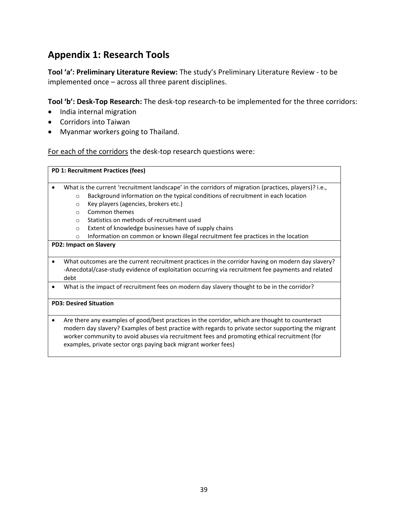# **Appendix 1: Research Tools**

**Tool 'a': Preliminary Literature Review:** The study's Preliminary Literature Review - to be implemented once – across all three parent disciplines.

**Tool 'b': Desk-Top Research:** The desk-top research-to be implemented for the three corridors:

- India internal migration
- Corridors into Taiwan
- Myanmar workers going to Thailand.

For each of the corridors the desk-top research questions were:

|   |         | PD 1: Recruitment Practices (fees)                                                                                                                                                                                                                                                                                                                                      |
|---|---------|-------------------------------------------------------------------------------------------------------------------------------------------------------------------------------------------------------------------------------------------------------------------------------------------------------------------------------------------------------------------------|
|   |         | What is the current 'recruitment landscape' in the corridors of migration (practices, players)? i.e.,                                                                                                                                                                                                                                                                   |
|   | $\circ$ | Background information on the typical conditions of recruitment in each location                                                                                                                                                                                                                                                                                        |
|   | $\circ$ | Key players (agencies, brokers etc.)                                                                                                                                                                                                                                                                                                                                    |
|   | $\circ$ | Common themes                                                                                                                                                                                                                                                                                                                                                           |
|   | $\circ$ | Statistics on methods of recruitment used                                                                                                                                                                                                                                                                                                                               |
|   | $\circ$ | Extent of knowledge businesses have of supply chains                                                                                                                                                                                                                                                                                                                    |
|   | $\circ$ | Information on common or known illegal recruitment fee practices in the location                                                                                                                                                                                                                                                                                        |
|   |         | <b>PD2: Impact on Slavery</b>                                                                                                                                                                                                                                                                                                                                           |
|   | debt    | What outcomes are the current recruitment practices in the corridor having on modern day slavery?<br>-Anecdotal/case-study evidence of exploitation occurring via recruitment fee payments and related                                                                                                                                                                  |
|   |         | What is the impact of recruitment fees on modern day slavery thought to be in the corridor?                                                                                                                                                                                                                                                                             |
|   |         | <b>PD3: Desired Situation</b>                                                                                                                                                                                                                                                                                                                                           |
| ٠ |         | Are there any examples of good/best practices in the corridor, which are thought to counteract<br>modern day slavery? Examples of best practice with regards to private sector supporting the migrant<br>worker community to avoid abuses via recruitment fees and promoting ethical recruitment (for<br>examples, private sector orgs paying back migrant worker fees) |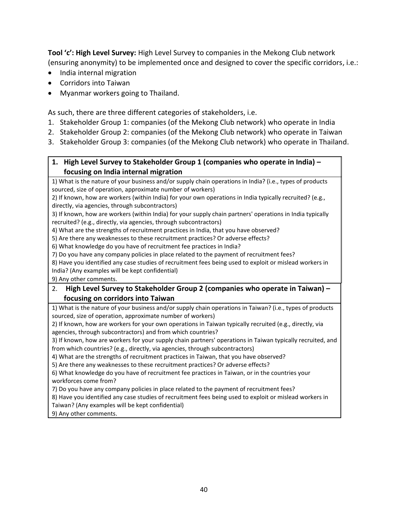**Tool 'c': High Level Survey:** High Level Survey to companies in the Mekong Club network (ensuring anonymity) to be implemented once and designed to cover the specific corridors, i.e.:

- India internal migration
- Corridors into Taiwan
- Myanmar workers going to Thailand.

As such, there are three different categories of stakeholders, i.e.

- 1. Stakeholder Group 1: companies (of the Mekong Club network) who operate in India
- 2. Stakeholder Group 2: companies (of the Mekong Club network) who operate in Taiwan
- 3. Stakeholder Group 3: companies (of the Mekong Club network) who operate in Thailand.

# **1. High Level Survey to Stakeholder Group 1 (companies who operate in India) – focusing on India internal migration**

1) What is the nature of your business and/or supply chain operations in India? (i.e., types of products sourced, size of operation, approximate number of workers)

2) If known, how are workers (within India) for your own operations in India typically recruited? (e.g., directly, via agencies, through subcontractors)

3) If known, how are workers (within India) for your supply chain partners' operations in India typically recruited? (e.g., directly, via agencies, through subcontractors)

4) What are the strengths of recruitment practices in India, that you have observed?

5) Are there any weaknesses to these recruitment practices? Or adverse effects?

6) What knowledge do you have of recruitment fee practices in India?

7) Do you have any company policies in place related to the payment of recruitment fees?

8) Have you identified any case studies of recruitment fees being used to exploit or mislead workers in India? (Any examples will be kept confidential)

9) Any other comments.

# 2. **High Level Survey to Stakeholder Group 2 (companies who operate in Taiwan) – focusing on corridors into Taiwan**

1) What is the nature of your business and/or supply chain operations in Taiwan? (i.e., types of products sourced, size of operation, approximate number of workers)

2) If known, how are workers for your own operations in Taiwan typically recruited (e.g., directly, via agencies, through subcontractors) and from which countries?

3) If known, how are workers for your supply chain partners' operations in Taiwan typically recruited, and from which countries? (e.g., directly, via agencies, through subcontractors)

4) What are the strengths of recruitment practices in Taiwan, that you have observed?

5) Are there any weaknesses to these recruitment practices? Or adverse effects?

6) What knowledge do you have of recruitment fee practices in Taiwan, or in the countries your workforces come from?

7) Do you have any company policies in place related to the payment of recruitment fees?

8) Have you identified any case studies of recruitment fees being used to exploit or mislead workers in Taiwan? (Any examples will be kept confidential)

9) Any other comments.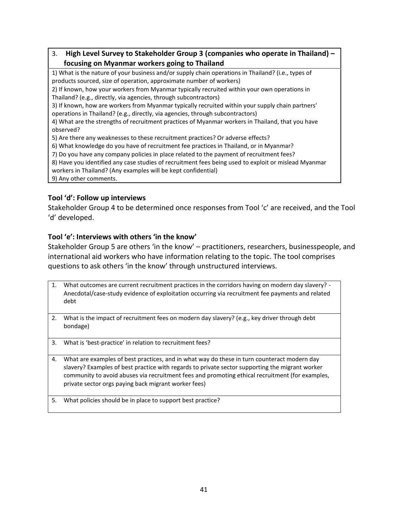# 3. **High Level Survey to Stakeholder Group 3 (companies who operate in Thailand) – focusing on Myanmar workers going to Thailand**

1) What is the nature of your business and/or supply chain operations in Thailand? (i.e., types of products sourced, size of operation, approximate number of workers)

2) If known, how your workers from Myanmar typically recruited within your own operations in Thailand? (e.g., directly, via agencies, through subcontractors)

3) If known, how are workers from Myanmar typically recruited within your supply chain partners' operations in Thailand? (e.g., directly, via agencies, through subcontractors)

4) What are the strengths of recruitment practices of Myanmar workers in Thailand, that you have observed?

5) Are there any weaknesses to these recruitment practices? Or adverse effects?

6) What knowledge do you have of recruitment fee practices in Thailand, or in Myanmar?

7) Do you have any company policies in place related to the payment of recruitment fees?

8) Have you identified any case studies of recruitment fees being used to exploit or mislead Myanmar

workers in Thailand? (Any examples will be kept confidential)

9) Any other comments.

# **Tool 'd': Follow up interviews**

Stakeholder Group 4 to be determined once responses from Tool 'c' are received, and the Tool 'd' developed.

# **Tool 'e': Interviews with others 'in the know'**

Stakeholder Group 5 are others 'in the know' – practitioners, researchers, businesspeople, and international aid workers who have information relating to the topic. The tool comprises questions to ask others 'in the know' through unstructured interviews.

- 1. What outcomes are current recruitment practices in the corridors having on modern day slavery? Anecdotal/case-study evidence of exploitation occurring via recruitment fee payments and related debt
- 2. What is the impact of recruitment fees on modern day slavery? (e.g., key driver through debt bondage)
- 3. What is 'best-practice' in relation to recruitment fees?
- 4. What are examples of best practices, and in what way do these in turn counteract modern day slavery? Examples of best practice with regards to private sector supporting the migrant worker community to avoid abuses via recruitment fees and promoting ethical recruitment (for examples, private sector orgs paying back migrant worker fees)
- 5. What policies should be in place to support best practice?